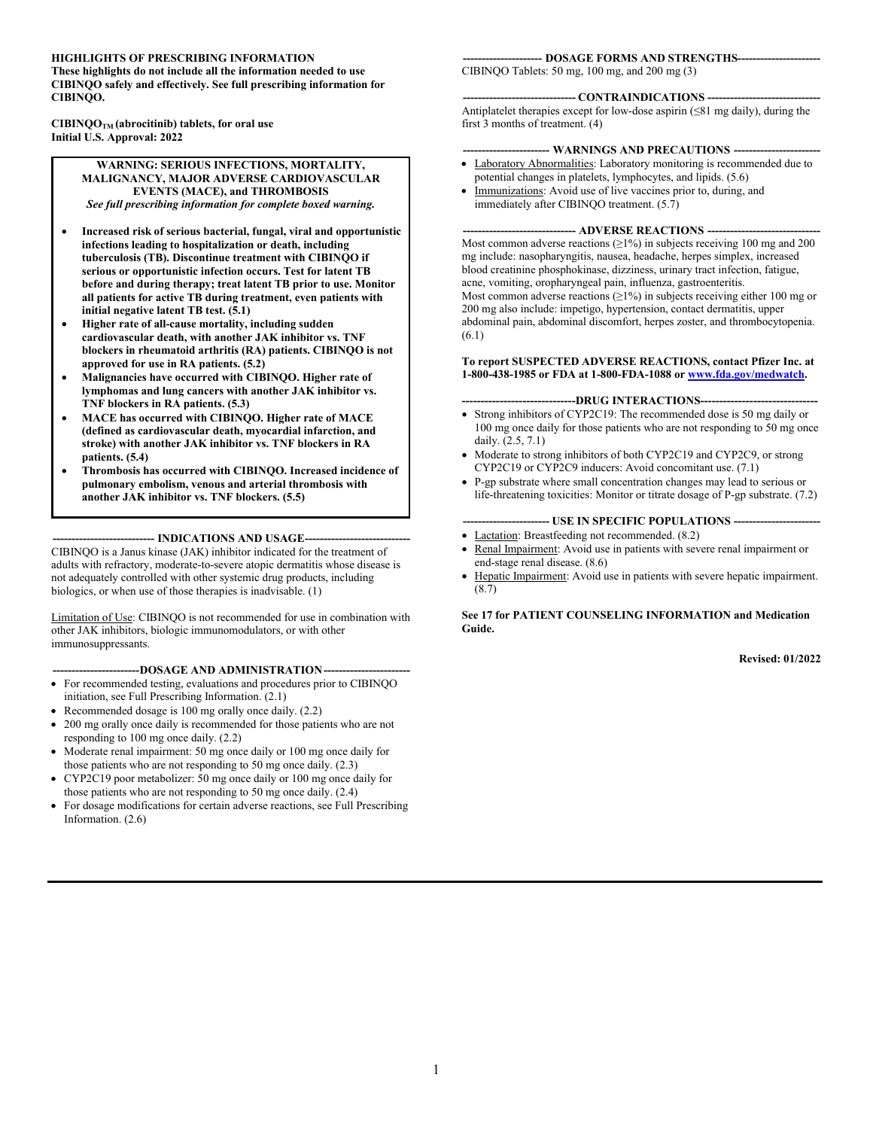#### **HIGHLIGHTS OF PRESCRIBING INFORMATION**

**These highlights do not include all the information needed to use CIBINQO safely and effectively. See full prescribing information for CIBINQO.**

**CIBINQOTM (abrocitinib) tablets, for oral use Initial U.S. Approval: 2022**

#### **WARNING: SERIOUS INFECTIONS, MORTALITY, MALIGNANCY, MAJOR ADVERSE CARDIOVASCULAR EVENTS (MACE), and THROMBOSIS** *See full prescribing information for complete boxed warning.*

- **Increased risk of serious bacterial, fungal, viral and opportunistic infections leading to hospitalization or death, including tuberculosis (TB). Discontinue treatment with CIBINQO if serious or opportunistic infection occurs. Test for latent TB before and during therapy; treat latent TB prior to use. Monitor all patients for active TB during treatment, even patients with initial negative latent TB test. (5.1)**
- **Higher rate of all-cause mortality, including sudden cardiovascular death, with another JAK inhibitor vs. TNF blockers in rheumatoid arthritis (RA) patients. CIBINQO is not approved for use in RA patients. (5.2)**
- **Malignancies have occurred with CIBINQO. Higher rate of lymphomas and lung cancers with another JAK inhibitor vs. TNF blockers in RA patients. (5.3)**
- **MACE has occurred with CIBINQO. Higher rate of MACE (defined as cardiovascular death, myocardial infarction, and stroke) with another JAK inhibitor vs. TNF blockers in RA patients. (5.4)**
- **Thrombosis has occurred with CIBINQO. Increased incidence of pulmonary embolism, venous and arterial thrombosis with another JAK inhibitor vs. TNF blockers. (5.5)**

--- **INDICATIONS AND USAGE--**CIBINQO is a Janus kinase (JAK) inhibitor indicated for the treatment of adults with refractory, moderate-to-severe atopic dermatitis whose disease is not adequately controlled with other systemic drug products, including biologics, or when use of those therapies is inadvisable. (1)

Limitation of Use: CIBINQO is not recommended for use in combination with other JAK inhibitors, biologic immunomodulators, or with other immunosuppressants.

#### **-----------------------DOSAGE AND ADMINISTRATION-----------------------**

- For recommended testing, evaluations and procedures prior to CIBINQO initiation, see Full Prescribing Information. (2.1)
- Recommended dosage is 100 mg orally once daily. (2.2)
- 200 mg orally once daily is recommended for those patients who are not responding to 100 mg once daily. (2.2)
- Moderate renal impairment: 50 mg once daily or 100 mg once daily for those patients who are not responding to 50 mg once daily. (2.3)
- CYP2C19 poor metabolizer: 50 mg once daily or 100 mg once daily for those patients who are not responding to 50 mg once daily. (2.4)
- For dosage modifications for certain adverse reactions, see Full Prescribing Information. (2.6)

#### **--------------------- DOSAGE FORMS AND STRENGTHS----------------------**

CIBINQO Tablets: 50 mg, 100 mg, and 200 mg (3)

#### **------------------------------ CONTRAINDICATIONS ------------------------------**

Antiplatelet therapies except for low-dose aspirin (≤81 mg daily), during the first 3 months of treatment. (4)

#### **----------------------- WARNINGS AND PRECAUTIONS -----------------------**

- Laboratory Abnormalities: Laboratory monitoring is recommended due to potential changes in platelets, lymphocytes, and lipids. (5.6)
- Immunizations: Avoid use of live vaccines prior to, during, and immediately after CIBINOO treatment. (5.7)

#### **--- ADVERSE REACTIONS ----**

Most common adverse reactions  $(≥1%)$  in subjects receiving 100 mg and 200 mg include: nasopharyngitis, nausea, headache, herpes simplex, increased blood creatinine phosphokinase, dizziness, urinary tract infection, fatigue, acne, vomiting, oropharyngeal pain, influenza, gastroenteritis. Most common adverse reactions  $(\geq 1\%)$  in subjects receiving either 100 mg or 200 mg also include: impetigo, hypertension, contact dermatitis, upper abdominal pain, abdominal discomfort, herpes zoster, and thrombocytopenia. (6.1)

#### **To report SUSPECTED ADVERSE REACTIONS, contact Pfizer Inc. at 1-800-438-1985 or FDA at 1-800-FDA-1088 or [www.fda.gov/medwatch](http://www.fda.gov/medwatch).**

#### **------------------------------DRUG INTERACTIONS-------------------------------**

- Strong inhibitors of CYP2C19: The recommended dose is 50 mg daily or 100 mg once daily for those patients who are not responding to 50 mg once daily. (2.5, 7.1)
- Moderate to strong inhibitors of both CYP2C19 and CYP2C9, or strong CYP2C19 or CYP2C9 inducers: Avoid concomitant use. (7.1)
- P-gp substrate where small concentration changes may lead to serious or life-threatening toxicities: Monitor or titrate dosage of P-gp substrate. (7.2)

#### **----------------------- USE IN SPECIFIC POPULATIONS -----------------------**

- Lactation: Breastfeeding not recommended. (8.2) Renal Impairment: Avoid use in patients with severe renal impairment or end-stage renal disease. (8.6)
- Hepatic Impairment: Avoid use in patients with severe hepatic impairment. (8.7)

**See 17 for PATIENT COUNSELING INFORMATION and Medication Guide.**

**Revised: 01/2022**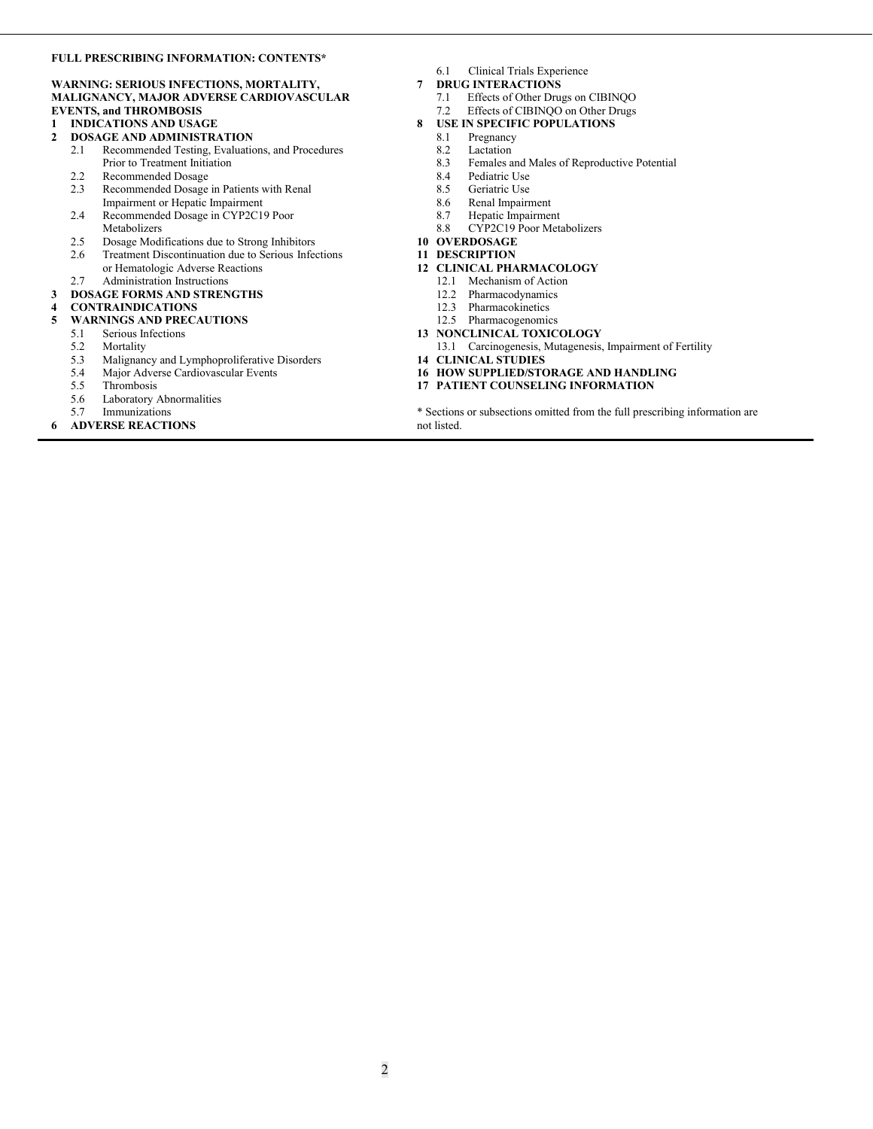#### **FULL PRESCRIBING INFORMATION: CONTENTS\***

#### **WARNING: SERIOUS INFECTIONS, MORTALITY, MALIGNANCY, MAJOR ADVERSE CARDIOVASCULAR EVENTS, and THROMBOSIS**

- **1 INDICATIONS AND USAGE**
- **2 DOSAGE AND ADMINISTRATION**
	- 2.1 Recommended Testing, Evaluations, and Procedures Prior to Treatment Initiation
	- 2.2 Recommended Dosage<br>2.3 Recommended Dosage
	- Recommended Dosage in Patients with Renal Impairment or Hepatic Impairment
	- 2.4 Recommended Dosage in CYP2C19 Poor Metabolizers
	- 2.5 Dosage Modifications due to Strong Inhibitors<br>2.6 Treatment Discontinuation due to Serious Infee
	- Treatment Discontinuation due to Serious Infections or Hematologic Adverse Reactions
- 2.7 Administration Instructions **3 DOSAGE FORMS AND STRENGTHS**
- 

## **4 CONTRAINDICATIONS**

- **5 WARNINGS AND PRECAUTIONS**
- 5.1 Serious Infections 5.2 Mortality
- 
- 5.3 Malignancy and Lymphoproliferative Disorders<br>5.4 Major Adverse Cardiovascular Events 5.4 Major Adverse Cardiovascular Events
- 
- 5.5 Thrombosis<br>5.6 Laboratory A Laboratory Abnormalities
- 5.7 Immunizations
- **6 ADVERSE REACTIONS**
- 6.1 Clinical Trials Experience
- **7 DRUG INTERACTIONS**
	- 7.1 Effects of Other Drugs on CIBINQO
	- 7.2 Effects of CIBINQO on Other Drugs
- **8 USE IN SPECIFIC POPULATIONS**
	- 8.1 Pregnancy
	- 8.2 Lactation<br>8.3 Females a
	- Females and Males of Reproductive Potential
	-
	- 8.4 Pediatric Use<br>8.5 Geriatric Use Geriatric Use
	- 8.6 Renal Impairment<br>8.7 Henatic Impairment
	- Hepatic Impairment
	- 8.8 CYP2C19 Poor Metabolizers
- **10 OVERDOSAGE**

#### **11 DESCRIPTION**

- **12 CLINICAL PHARMACOLOGY**
	- 12.1 Mechanism of Action
	- 12.2 Pharmacodynamics
	- 12.3 Pharmacokinetics
	- 12.5 Pharmacogenomics
- **13 NONCLINICAL TOXICOLOGY** 13.1 Carcinogenesis, Mutagenesis, Impairment of Fertility
- **14 CLINICAL STUDIES**
- **16 HOW SUPPLIED/STORAGE AND HANDLING**
- **17 PATIENT COUNSELING INFORMATION**

\* Sections or subsections omitted from the full prescribing information are not listed.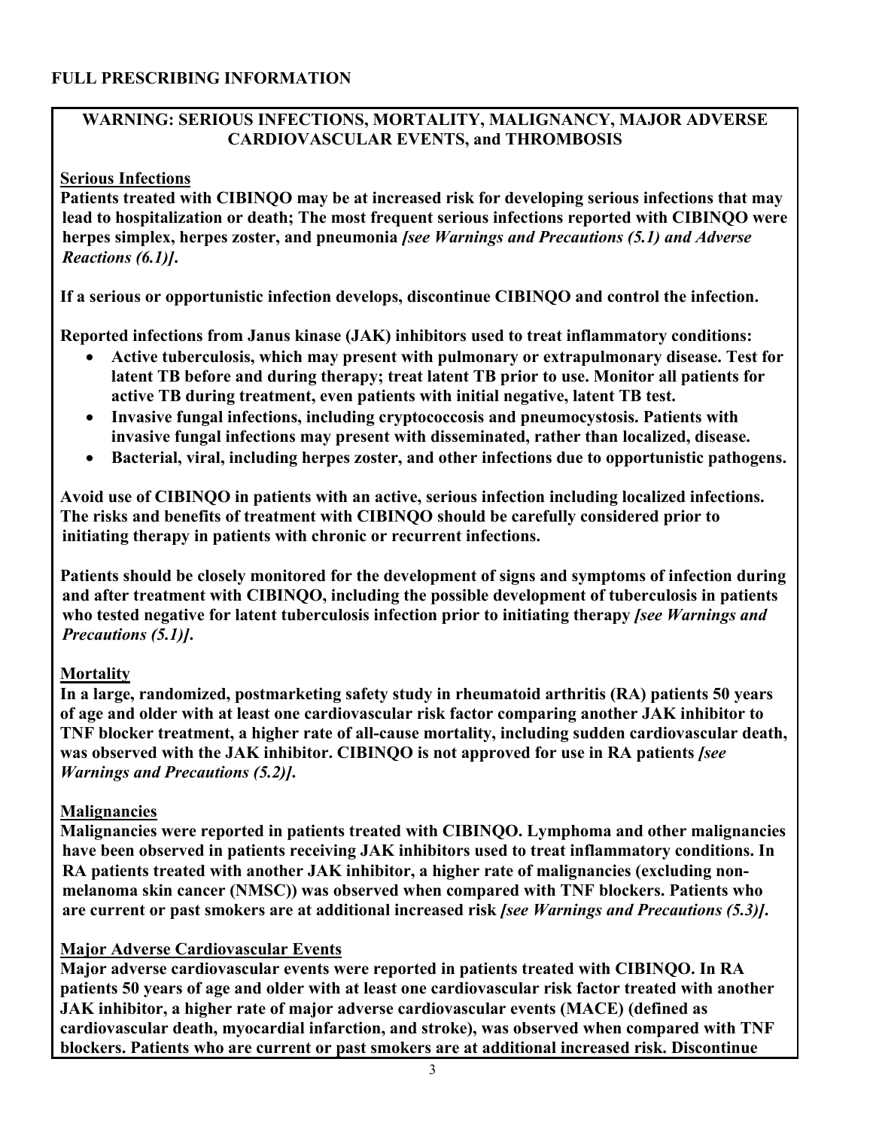### **FULL PRESCRIBING INFORMATION**

### **WARNING: SERIOUS INFECTIONS, MORTALITY, MALIGNANCY, MAJOR ADVERSE CARDIOVASCULAR EVENTS, and THROMBOSIS**

#### **Serious Infections**

**Patients treated with CIBINQO may be at increased risk for developing serious infections that may lead to hospitalization or death; The most frequent serious infections reported with CIBINQO were herpes simplex, herpes zoster, and pneumonia** *[see Warnings and Precautions (5.1) and Adverse Reactions (6.1)]***.** 

**If a serious or opportunistic infection develops, discontinue CIBINQO and control the infection.**

**Reported infections from Janus kinase (JAK) inhibitors used to treat inflammatory conditions:**

- **Active tuberculosis, which may present with pulmonary or extrapulmonary disease. Test for latent TB before and during therapy; treat latent TB prior to use. Monitor all patients for active TB during treatment, even patients with initial negative, latent TB test.**
- **Invasive fungal infections, including cryptococcosis and pneumocystosis. Patients with invasive fungal infections may present with disseminated, rather than localized, disease.**
- **Bacterial, viral, including herpes zoster, and other infections due to opportunistic pathogens.**

**Avoid use of CIBINQO in patients with an active, serious infection including localized infections. The risks and benefits of treatment with CIBINQO should be carefully considered prior to initiating therapy in patients with chronic or recurrent infections.** 

**Patients should be closely monitored for the development of signs and symptoms of infection during and after treatment with CIBINQO, including the possible development of tuberculosis in patients who tested negative for latent tuberculosis infection prior to initiating therapy** *[see Warnings and Precautions (5.1)]***.**

## **Mortality**

**In a large, randomized, postmarketing safety study in rheumatoid arthritis (RA) patients 50 years of age and older with at least one cardiovascular risk factor comparing another JAK inhibitor to TNF blocker treatment, a higher rate of all-cause mortality, including sudden cardiovascular death, was observed with the JAK inhibitor. CIBINQO is not approved for use in RA patients** *[see Warnings and Precautions (5.2)]***.**

## **Malignancies**

**Malignancies were reported in patients treated with CIBINQO. Lymphoma and other malignancies have been observed in patients receiving JAK inhibitors used to treat inflammatory conditions. In RA patients treated with another JAK inhibitor, a higher rate of malignancies (excluding nonmelanoma skin cancer (NMSC)) was observed when compared with TNF blockers. Patients who are current or past smokers are at additional increased risk** *[see Warnings and Precautions (5.3)]***.**

## **Major Adverse Cardiovascular Events**

**Major adverse cardiovascular events were reported in patients treated with CIBINQO. In RA patients 50 years of age and older with at least one cardiovascular risk factor treated with another JAK inhibitor, a higher rate of major adverse cardiovascular events (MACE) (defined as cardiovascular death, myocardial infarction, and stroke), was observed when compared with TNF blockers. Patients who are current or past smokers are at additional increased risk. Discontinue**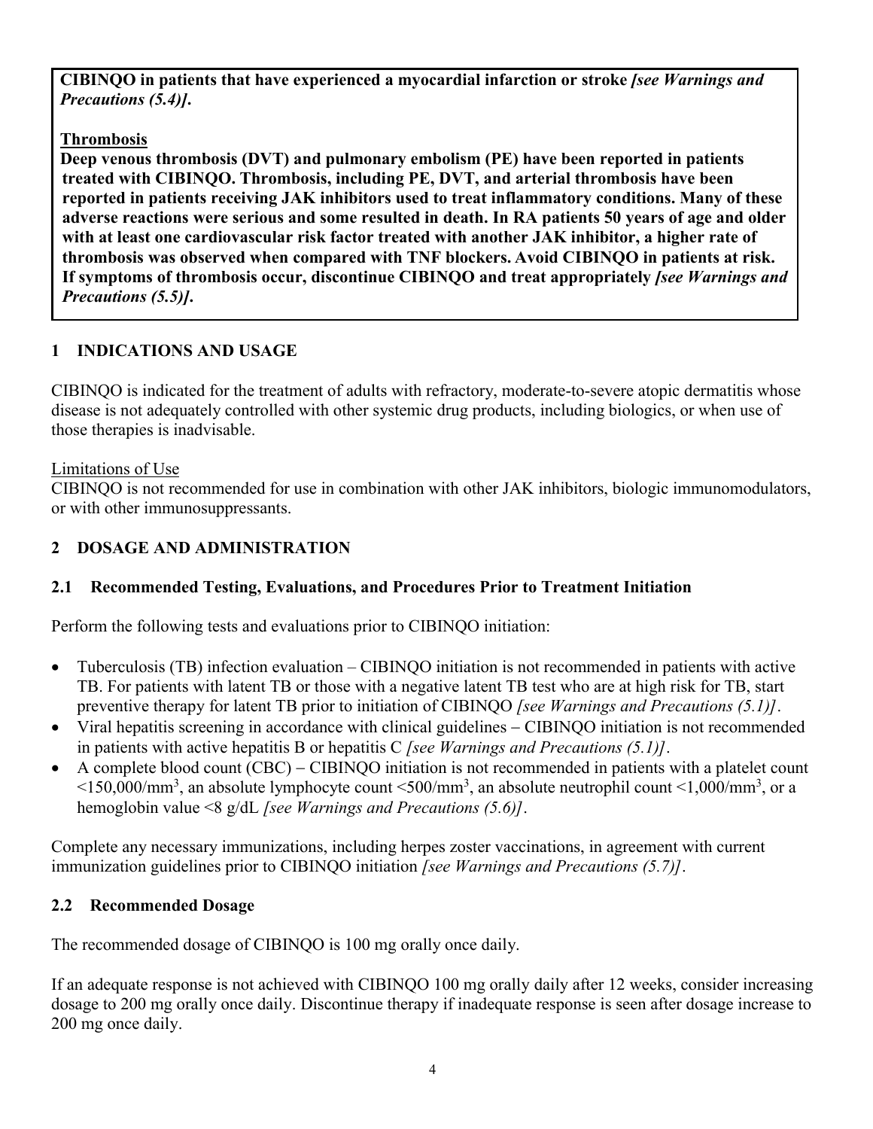**CIBINQO in patients that have experienced a myocardial infarction or stroke** *[see Warnings and Precautions (5.4)]***.**

## **Thrombosis**

**Deep venous thrombosis (DVT) and pulmonary embolism (PE) have been reported in patients treated with CIBINQO. Thrombosis, including PE, DVT, and arterial thrombosis have been reported in patients receiving JAK inhibitors used to treat inflammatory conditions. Many of these adverse reactions were serious and some resulted in death. In RA patients 50 years of age and older with at least one cardiovascular risk factor treated with another JAK inhibitor, a higher rate of thrombosis was observed when compared with TNF blockers. Avoid CIBINQO in patients at risk. If symptoms of thrombosis occur, discontinue CIBINQO and treat appropriately** *[see Warnings and Precautions (5.5)]***.**

## **1 INDICATIONS AND USAGE**

CIBINQO is indicated for the treatment of adults with refractory, moderate-to-severe atopic dermatitis whose disease is not adequately controlled with other systemic drug products, including biologics, or when use of those therapies is inadvisable.

## Limitations of Use

CIBINQO is not recommended for use in combination with other JAK inhibitors, biologic immunomodulators, or with other immunosuppressants.

## **2 DOSAGE AND ADMINISTRATION**

## **2.1 Recommended Testing, Evaluations, and Procedures Prior to Treatment Initiation**

Perform the following tests and evaluations prior to CIBINQO initiation:

- Tuberculosis (TB) infection evaluation CIBINQO initiation is not recommended in patients with active TB. For patients with latent TB or those with a negative latent TB test who are at high risk for TB, start preventive therapy for latent TB prior to initiation of CIBINQO *[see Warnings and Precautions (5.1)]*.
- Viral hepatitis screening in accordance with clinical guidelines CIBINQO initiation is not recommended in patients with active hepatitis B or hepatitis C *[see Warnings and Precautions (5.1)]*.
- $\bullet$  A complete blood count (CBC) CIBINQO initiation is not recommended in patients with a platelet count  $\leq$ 150,000/mm<sup>3</sup>, an absolute lymphocyte count  $\leq$ 500/mm<sup>3</sup>, an absolute neutrophil count  $\leq$ 1,000/mm<sup>3</sup>, or a hemoglobin value <8 g/dL *[see Warnings and Precautions (5.6)]*.

Complete any necessary immunizations, including herpes zoster vaccinations, in agreement with current immunization guidelines prior to CIBINQO initiation *[see Warnings and Precautions (5.7)]*.

## **2.2 Recommended Dosage**

The recommended dosage of CIBINQO is 100 mg orally once daily.

If an adequate response is not achieved with CIBINQO 100 mg orally daily after 12 weeks, consider increasing dosage to 200 mg orally once daily. Discontinue therapy if inadequate response is seen after dosage increase to 200 mg once daily.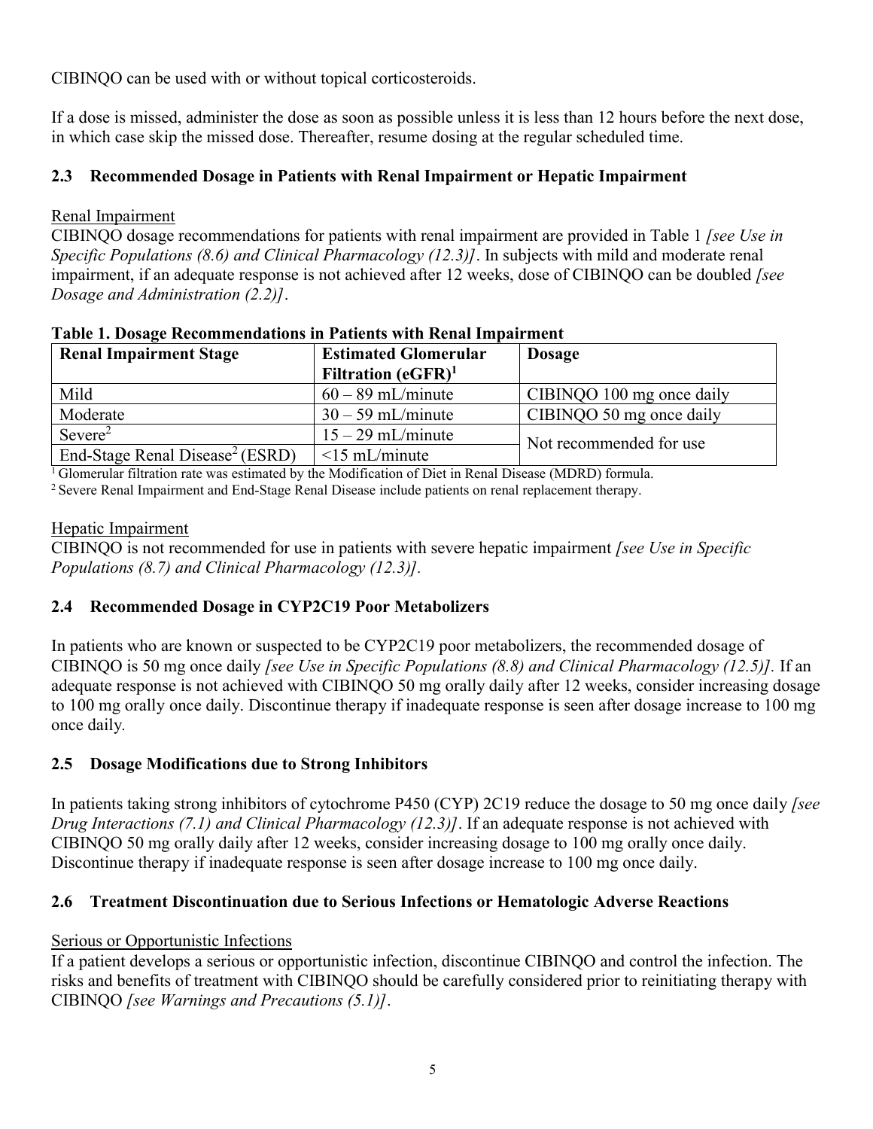CIBINQO can be used with or without topical corticosteroids.

If a dose is missed, administer the dose as soon as possible unless it is less than 12 hours before the next dose, in which case skip the missed dose. Thereafter, resume dosing at the regular scheduled time.

## **2.3 Recommended Dosage in Patients with Renal Impairment or Hepatic Impairment**

### Renal Impairment

CIBINQO dosage recommendations for patients with renal impairment are provided in Table 1 *[see Use in Specific Populations (8.6) and Clinical Pharmacology (12.3)]*. In subjects with mild and moderate renal impairment, if an adequate response is not achieved after 12 weeks, dose of CIBINQO can be doubled *[see Dosage and Administration (2.2)]*.

| <b>Renal Impairment Stage</b>               | <b>Estimated Glomerular</b><br>Filtration $(eGFR)^1$ | <b>Dosage</b>             |
|---------------------------------------------|------------------------------------------------------|---------------------------|
| Mild                                        | $60 - 89$ mL/minute                                  | CIBINQO 100 mg once daily |
| Moderate                                    | $30 - 59$ mL/minute                                  | CIBINQO 50 mg once daily  |
| Severe <sup>2</sup>                         | $15 - 29$ mL/minute                                  | Not recommended for use   |
| End-Stage Renal Disease <sup>2</sup> (ESRD) | $\leq$ 15 mL/minute                                  |                           |

#### **Table 1. Dosage Recommendations in Patients with Renal Impairment**

<sup>1</sup> Glomerular filtration rate was estimated by the Modification of Diet in Renal Disease (MDRD) formula.

<sup>2</sup> Severe Renal Impairment and End-Stage Renal Disease include patients on renal replacement therapy.

#### Hepatic Impairment

CIBINQO is not recommended for use in patients with severe hepatic impairment *[see Use in Specific Populations (8.7) and Clinical Pharmacology (12.3)].*

## **2.4 Recommended Dosage in CYP2C19 Poor Metabolizers**

In patients who are known or suspected to be CYP2C19 poor metabolizers, the recommended dosage of CIBINQO is 50 mg once daily *[see Use in Specific Populations (8.8) and Clinical Pharmacology (12.5)].* If an adequate response is not achieved with CIBINQO 50 mg orally daily after 12 weeks, consider increasing dosage to 100 mg orally once daily. Discontinue therapy if inadequate response is seen after dosage increase to 100 mg once daily*.*

## **2.5 Dosage Modifications due to Strong Inhibitors**

In patients taking strong inhibitors of cytochrome P450 (CYP) 2C19 reduce the dosage to 50 mg once daily *[see Drug Interactions (7.1) and Clinical Pharmacology (12.3)]*. If an adequate response is not achieved with CIBINQO 50 mg orally daily after 12 weeks, consider increasing dosage to 100 mg orally once daily. Discontinue therapy if inadequate response is seen after dosage increase to 100 mg once daily.

## **2.6 Treatment Discontinuation due to Serious Infections or Hematologic Adverse Reactions**

## Serious or Opportunistic Infections

If a patient develops a serious or opportunistic infection, discontinue CIBINQO and control the infection. The risks and benefits of treatment with CIBINQO should be carefully considered prior to reinitiating therapy with CIBINQO *[see Warnings and Precautions (5.1)]*.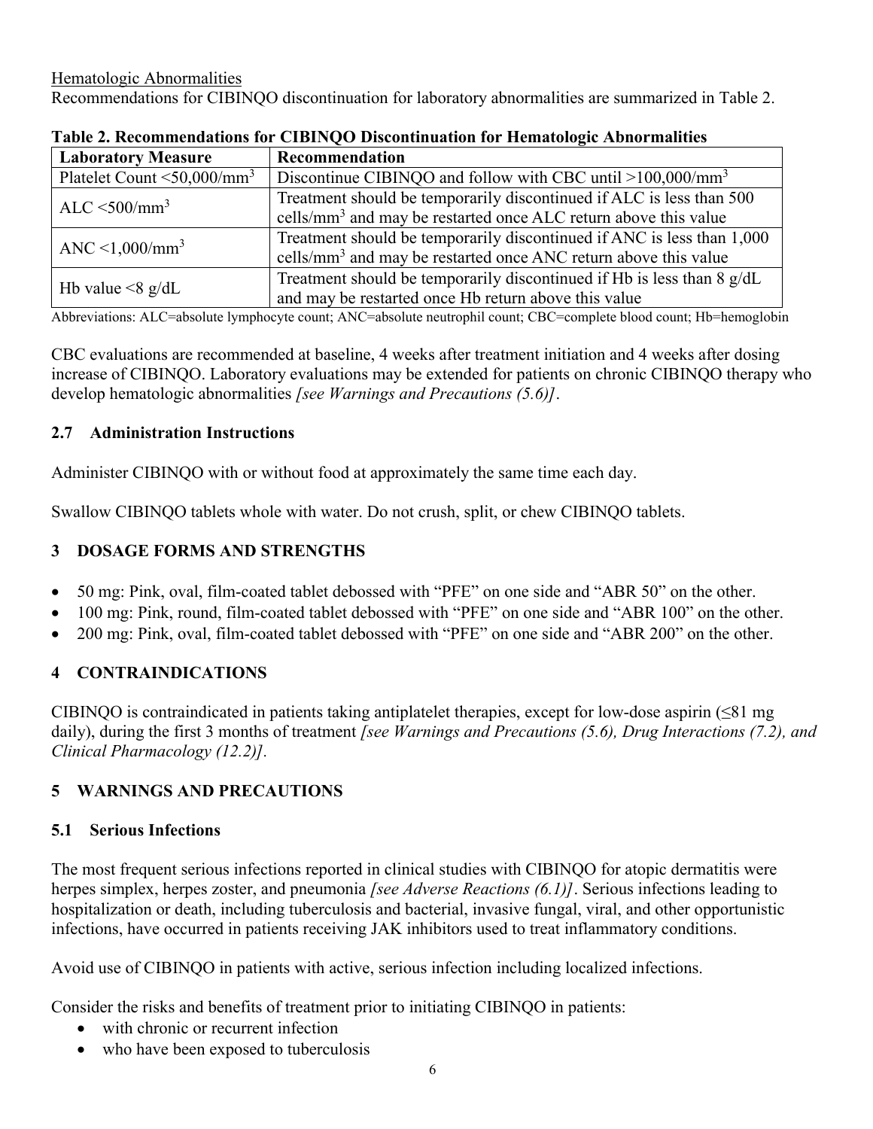Hematologic Abnormalities Recommendations for CIBINQO discontinuation for laboratory abnormalities are summarized in Table 2.

| <b>Laboratory Measure</b>                | Recommendation                                                              |  |
|------------------------------------------|-----------------------------------------------------------------------------|--|
| Platelet Count $\leq 50,000/\text{mm}^3$ | Discontinue CIBINQO and follow with CBC until $>100,000/\text{mm}^3$        |  |
| ALC $\leq$ 500/mm <sup>3</sup>           | Treatment should be temporarily discontinued if ALC is less than 500        |  |
|                                          | cells/mm <sup>3</sup> and may be restarted once ALC return above this value |  |
| ANC $\leq$ 1,000/mm <sup>3</sup>         | Treatment should be temporarily discontinued if ANC is less than 1,000      |  |
|                                          | cells/mm <sup>3</sup> and may be restarted once ANC return above this value |  |
|                                          | Treatment should be temporarily discontinued if Hb is less than 8 g/dL      |  |
| Hb value $\leq 8$ g/dL                   | and may be restarted once Hb return above this value                        |  |

**Table 2. Recommendations for CIBINQO Discontinuation for Hematologic Abnormalities**

Abbreviations: ALC=absolute lymphocyte count; ANC=absolute neutrophil count; CBC=complete blood count; Hb=hemoglobin

CBC evaluations are recommended at baseline, 4 weeks after treatment initiation and 4 weeks after dosing increase of CIBINQO. Laboratory evaluations may be extended for patients on chronic CIBINQO therapy who develop hematologic abnormalities *[see Warnings and Precautions (5.6)]*.

#### **2.7 Administration Instructions**

Administer CIBINQO with or without food at approximately the same time each day.

Swallow CIBINQO tablets whole with water. Do not crush, split, or chew CIBINQO tablets.

## **3 DOSAGE FORMS AND STRENGTHS**

- 50 mg: Pink, oval, film-coated tablet debossed with "PFE" on one side and "ABR 50" on the other.
- 100 mg: Pink, round, film-coated tablet debossed with "PFE" on one side and "ABR 100" on the other.
- 200 mg: Pink, oval, film-coated tablet debossed with "PFE" on one side and "ABR 200" on the other.

## **4 CONTRAINDICATIONS**

CIBINQO is contraindicated in patients taking antiplatelet therapies, except for low-dose aspirin  $(\leq 81 \text{ mg})$ daily), during the first 3 months of treatment *[see Warnings and Precautions (5.6), Drug Interactions (7.2), and Clinical Pharmacology (12.2)].*

## **5 WARNINGS AND PRECAUTIONS**

## **5.1 Serious Infections**

The most frequent serious infections reported in clinical studies with CIBINQO for atopic dermatitis were herpes simplex, herpes zoster, and pneumonia *[see Adverse Reactions (6.1)]*. Serious infections leading to hospitalization or death, including tuberculosis and bacterial, invasive fungal, viral, and other opportunistic infections, have occurred in patients receiving JAK inhibitors used to treat inflammatory conditions.

Avoid use of CIBINQO in patients with active, serious infection including localized infections.

Consider the risks and benefits of treatment prior to initiating CIBINQO in patients:

- with chronic or recurrent infection
- who have been exposed to tuberculosis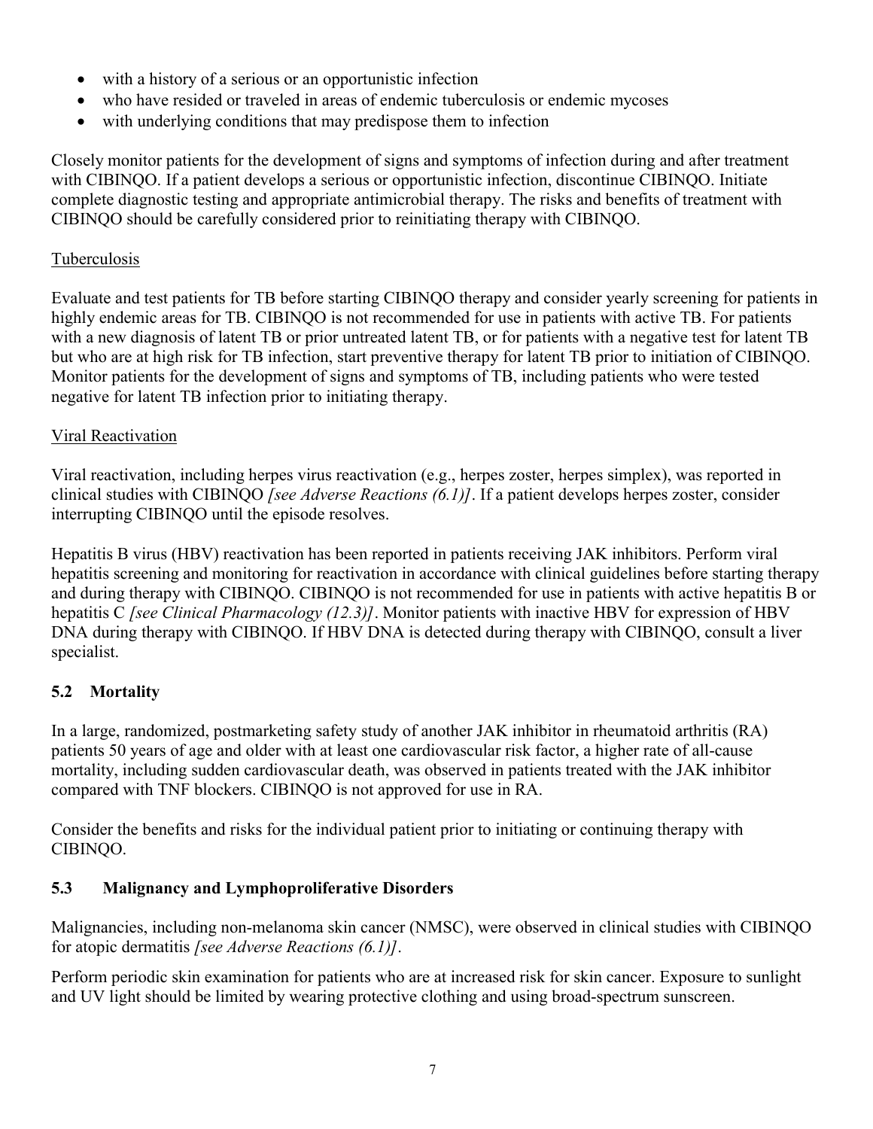- with a history of a serious or an opportunistic infection
- who have resided or traveled in areas of endemic tuberculosis or endemic mycoses
- with underlying conditions that may predispose them to infection

Closely monitor patients for the development of signs and symptoms of infection during and after treatment with CIBINQO. If a patient develops a serious or opportunistic infection, discontinue CIBINQO. Initiate complete diagnostic testing and appropriate antimicrobial therapy. The risks and benefits of treatment with CIBINQO should be carefully considered prior to reinitiating therapy with CIBINQO.

## Tuberculosis

Evaluate and test patients for TB before starting CIBINQO therapy and consider yearly screening for patients in highly endemic areas for TB. CIBINQO is not recommended for use in patients with active TB. For patients with a new diagnosis of latent TB or prior untreated latent TB, or for patients with a negative test for latent TB but who are at high risk for TB infection, start preventive therapy for latent TB prior to initiation of CIBINQO. Monitor patients for the development of signs and symptoms of TB, including patients who were tested negative for latent TB infection prior to initiating therapy.

## Viral Reactivation

Viral reactivation, including herpes virus reactivation (e.g., herpes zoster, herpes simplex), was reported in clinical studies with CIBINQO *[see Adverse Reactions (6.1)]*. If a patient develops herpes zoster, consider interrupting CIBINQO until the episode resolves.

Hepatitis B virus (HBV) reactivation has been reported in patients receiving JAK inhibitors. Perform viral hepatitis screening and monitoring for reactivation in accordance with clinical guidelines before starting therapy and during therapy with CIBINQO. CIBINQO is not recommended for use in patients with active hepatitis B or hepatitis C *[see Clinical Pharmacology (12.3)]*. Monitor patients with inactive HBV for expression of HBV DNA during therapy with CIBINQO. If HBV DNA is detected during therapy with CIBINQO, consult a liver specialist.

## **5.2 Mortality**

In a large, randomized, postmarketing safety study of another JAK inhibitor in rheumatoid arthritis (RA) patients 50 years of age and older with at least one cardiovascular risk factor, a higher rate of all-cause mortality, including sudden cardiovascular death, was observed in patients treated with the JAK inhibitor compared with TNF blockers. CIBINQO is not approved for use in RA.

Consider the benefits and risks for the individual patient prior to initiating or continuing therapy with CIBINQO.

## **5.3 Malignancy and Lymphoproliferative Disorders**

Malignancies, including non-melanoma skin cancer (NMSC), were observed in clinical studies with CIBINQO for atopic dermatitis *[see Adverse Reactions (6.1)]*.

Perform periodic skin examination for patients who are at increased risk for skin cancer. Exposure to sunlight and UV light should be limited by wearing protective clothing and using broad-spectrum sunscreen.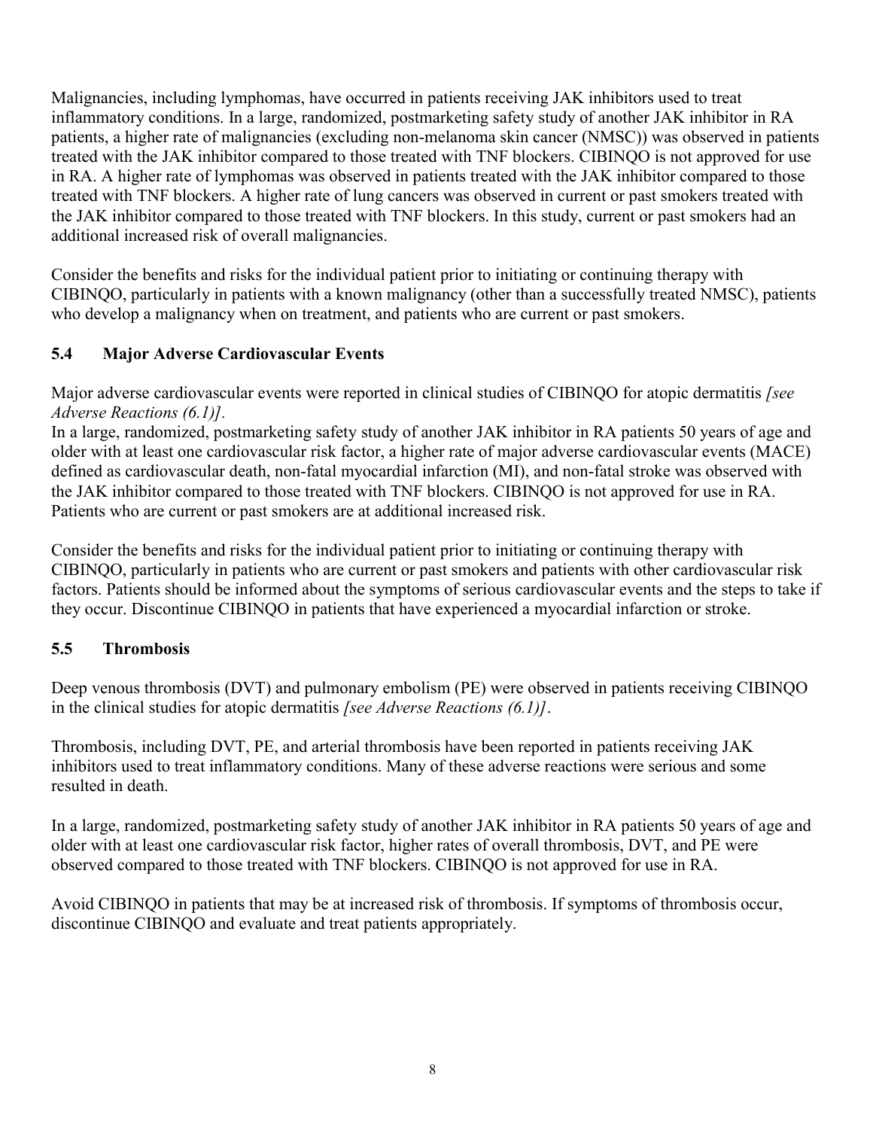Malignancies, including lymphomas, have occurred in patients receiving JAK inhibitors used to treat inflammatory conditions. In a large, randomized, postmarketing safety study of another JAK inhibitor in RA patients, a higher rate of malignancies (excluding non-melanoma skin cancer (NMSC)) was observed in patients treated with the JAK inhibitor compared to those treated with TNF blockers. CIBINQO is not approved for use in RA. A higher rate of lymphomas was observed in patients treated with the JAK inhibitor compared to those treated with TNF blockers. A higher rate of lung cancers was observed in current or past smokers treated with the JAK inhibitor compared to those treated with TNF blockers. In this study, current or past smokers had an additional increased risk of overall malignancies.

Consider the benefits and risks for the individual patient prior to initiating or continuing therapy with CIBINQO, particularly in patients with a known malignancy (other than a successfully treated NMSC), patients who develop a malignancy when on treatment, and patients who are current or past smokers.

## **5.4 Major Adverse Cardiovascular Events**

Major adverse cardiovascular events were reported in clinical studies of CIBINQO for atopic dermatitis *[see Adverse Reactions (6.1)].*

In a large, randomized, postmarketing safety study of another JAK inhibitor in RA patients 50 years of age and older with at least one cardiovascular risk factor, a higher rate of major adverse cardiovascular events (MACE) defined as cardiovascular death, non-fatal myocardial infarction (MI), and non-fatal stroke was observed with the JAK inhibitor compared to those treated with TNF blockers. CIBINQO is not approved for use in RA. Patients who are current or past smokers are at additional increased risk.

Consider the benefits and risks for the individual patient prior to initiating or continuing therapy with CIBINQO, particularly in patients who are current or past smokers and patients with other cardiovascular risk factors. Patients should be informed about the symptoms of serious cardiovascular events and the steps to take if they occur. Discontinue CIBINQO in patients that have experienced a myocardial infarction or stroke.

## **5.5 Thrombosis**

Deep venous thrombosis (DVT) and pulmonary embolism (PE) were observed in patients receiving CIBINQO in the clinical studies for atopic dermatitis *[see Adverse Reactions (6.1)]*.

Thrombosis, including DVT, PE, and arterial thrombosis have been reported in patients receiving JAK inhibitors used to treat inflammatory conditions. Many of these adverse reactions were serious and some resulted in death.

In a large, randomized, postmarketing safety study of another JAK inhibitor in RA patients 50 years of age and older with at least one cardiovascular risk factor, higher rates of overall thrombosis, DVT, and PE were observed compared to those treated with TNF blockers. CIBINQO is not approved for use in RA.

Avoid CIBINQO in patients that may be at increased risk of thrombosis. If symptoms of thrombosis occur, discontinue CIBINQO and evaluate and treat patients appropriately.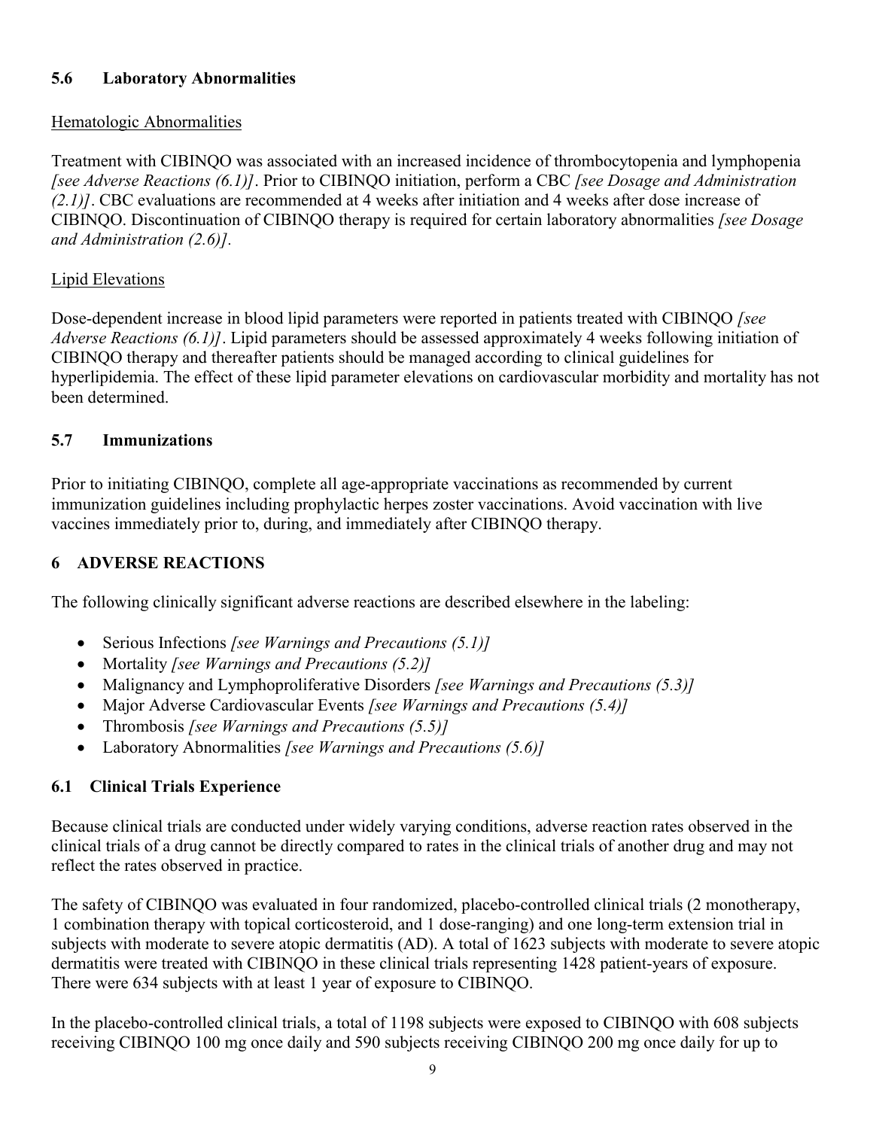## **5.6 Laboratory Abnormalities**

## Hematologic Abnormalities

Treatment with CIBINQO was associated with an increased incidence of thrombocytopenia and lymphopenia *[see Adverse Reactions (6.1)]*. Prior to CIBINQO initiation, perform a CBC *[see Dosage and Administration (2.1)]*. CBC evaluations are recommended at 4 weeks after initiation and 4 weeks after dose increase of CIBINQO. Discontinuation of CIBINQO therapy is required for certain laboratory abnormalities *[see Dosage and Administration (2.6)].* 

## Lipid Elevations

Dose-dependent increase in blood lipid parameters were reported in patients treated with CIBINQO *[see Adverse Reactions (6.1)]*. Lipid parameters should be assessed approximately 4 weeks following initiation of CIBINQO therapy and thereafter patients should be managed according to clinical guidelines for hyperlipidemia. The effect of these lipid parameter elevations on cardiovascular morbidity and mortality has not been determined.

#### **5.7 Immunizations**

Prior to initiating CIBINQO, complete all age-appropriate vaccinations as recommended by current immunization guidelines including prophylactic herpes zoster vaccinations. Avoid vaccination with live vaccines immediately prior to, during, and immediately after CIBINQO therapy.

## **6 ADVERSE REACTIONS**

The following clinically significant adverse reactions are described elsewhere in the labeling:

- Serious Infections *[see Warnings and Precautions (5.1)]*
- Mortality *[see Warnings and Precautions (5.2)]*
- Malignancy and Lymphoproliferative Disorders *[see Warnings and Precautions (5.3)]*
- Major Adverse Cardiovascular Events *[see Warnings and Precautions (5.4)]*
- Thrombosis *[see Warnings and Precautions (5.5)]*
- Laboratory Abnormalities *[see Warnings and Precautions (5.6)]*

## **6.1 Clinical Trials Experience**

Because clinical trials are conducted under widely varying conditions, adverse reaction rates observed in the clinical trials of a drug cannot be directly compared to rates in the clinical trials of another drug and may not reflect the rates observed in practice.

The safety of CIBINQO was evaluated in four randomized, placebo-controlled clinical trials (2 monotherapy, 1 combination therapy with topical corticosteroid, and 1 dose-ranging) and one long-term extension trial in subjects with moderate to severe atopic dermatitis (AD). A total of 1623 subjects with moderate to severe atopic dermatitis were treated with CIBINQO in these clinical trials representing 1428 patient-years of exposure. There were 634 subjects with at least 1 year of exposure to CIBINQO.

In the placebo-controlled clinical trials, a total of 1198 subjects were exposed to CIBINQO with 608 subjects receiving CIBINQO 100 mg once daily and 590 subjects receiving CIBINQO 200 mg once daily for up to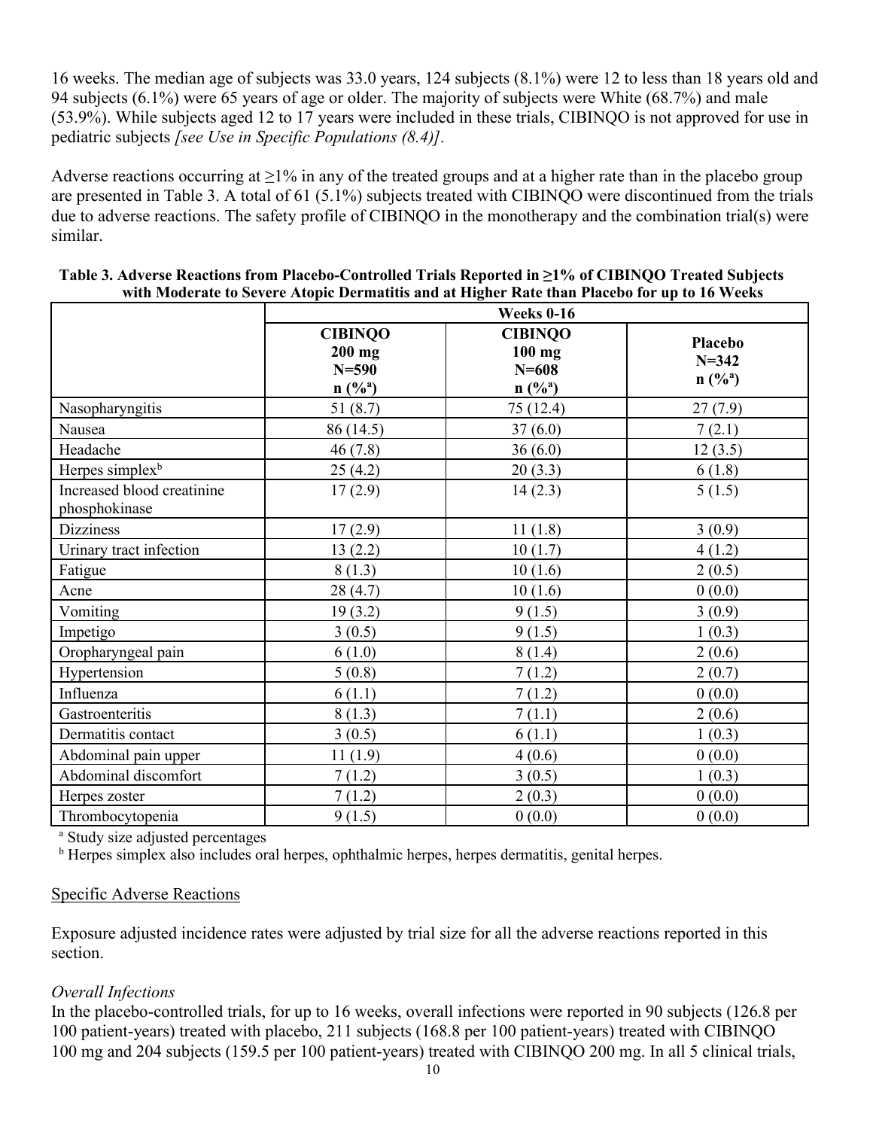16 weeks. The median age of subjects was 33.0 years, 124 subjects (8.1%) were 12 to less than 18 years old and 94 subjects (6.1%) were 65 years of age or older. The majority of subjects were White (68.7%) and male (53.9%). While subjects aged 12 to 17 years were included in these trials, CIBINQO is not approved for use in pediatric subjects *[see Use in Specific Populations (8.4)].*

Adverse reactions occurring at  $\geq$ 1% in any of the treated groups and at a higher rate than in the placebo group are presented in Table 3. A total of 61 (5.1%) subjects treated with CIBINQO were discontinued from the trials due to adverse reactions. The safety profile of CIBINQO in the monotherapy and the combination trial(s) were similar.

|                                             | Weeks 0-16                                                    |                                                               |                                            |  |
|---------------------------------------------|---------------------------------------------------------------|---------------------------------------------------------------|--------------------------------------------|--|
|                                             | <b>CIBINQO</b><br>$200$ mg<br>$N = 590$<br>$n(^{9}/_{0}^{a})$ | <b>CIBINQO</b><br>$100$ mg<br>$N = 608$<br>$n(^{9}/_{0}^{a})$ | Placebo<br>$N = 342$<br>$n(^{9}/_{0}^{a})$ |  |
| Nasopharyngitis                             | 51(8.7)                                                       | 75 (12.4)                                                     | 27(7.9)                                    |  |
| Nausea                                      | 86 (14.5)                                                     | 37(6.0)                                                       | 7(2.1)                                     |  |
| Headache                                    | 46(7.8)                                                       | 36(6.0)                                                       | 12(3.5)                                    |  |
| Herpes simplex <sup>b</sup>                 | 25(4.2)                                                       | 20(3.3)                                                       | 6(1.8)                                     |  |
| Increased blood creatinine<br>phosphokinase | 17(2.9)                                                       | 14(2.3)                                                       | 5(1.5)                                     |  |
| <b>Dizziness</b>                            | 17(2.9)                                                       | 11(1.8)                                                       | 3(0.9)                                     |  |
| Urinary tract infection                     | 13(2.2)                                                       | 10(1.7)                                                       | 4(1.2)                                     |  |
| Fatigue                                     | 8(1.3)                                                        | 10(1.6)                                                       | 2(0.5)                                     |  |
| Acne                                        | 28(4.7)                                                       | 10(1.6)                                                       | 0(0.0)                                     |  |
| Vomiting                                    | 19(3.2)                                                       | 9(1.5)                                                        | 3(0.9)                                     |  |
| Impetigo                                    | 3(0.5)                                                        | 9(1.5)                                                        | 1(0.3)                                     |  |
| Oropharyngeal pain                          | 6(1.0)                                                        | 8(1.4)                                                        | 2(0.6)                                     |  |
| Hypertension                                | 5(0.8)                                                        | 7(1.2)                                                        | 2(0.7)                                     |  |
| Influenza                                   | 6(1.1)                                                        | 7(1.2)                                                        | 0(0.0)                                     |  |
| Gastroenteritis                             | 8(1.3)                                                        | 7(1.1)                                                        | 2(0.6)                                     |  |
| Dermatitis contact                          | 3(0.5)                                                        | 6(1.1)                                                        | 1(0.3)                                     |  |
| Abdominal pain upper                        | 11(1.9)                                                       | 4(0.6)                                                        | 0(0.0)                                     |  |
| Abdominal discomfort                        | 7(1.2)                                                        | 3(0.5)                                                        | 1(0.3)                                     |  |
| Herpes zoster                               | 7(1.2)                                                        | 2(0.3)                                                        | 0(0.0)                                     |  |
| Thrombocytopenia                            | 9(1.5)                                                        | 0(0.0)                                                        | 0(0.0)                                     |  |

| Table 3. Adverse Reactions from Placebo-Controlled Trials Reported in $\geq 1\%$ of CIBINQO Treated Subjects |
|--------------------------------------------------------------------------------------------------------------|
| with Moderate to Severe Atopic Dermatitis and at Higher Rate than Placebo for up to 16 Weeks                 |

<sup>a</sup> Study size adjusted percentages

<sup>b</sup> Herpes simplex also includes oral herpes, ophthalmic herpes, herpes dermatitis, genital herpes.

#### Specific Adverse Reactions

Exposure adjusted incidence rates were adjusted by trial size for all the adverse reactions reported in this section.

#### *Overall Infections*

In the placebo-controlled trials, for up to 16 weeks, overall infections were reported in 90 subjects (126.8 per 100 patient-years) treated with placebo, 211 subjects (168.8 per 100 patient-years) treated with CIBINQO 100 mg and 204 subjects (159.5 per 100 patient-years) treated with CIBINQO 200 mg. In all 5 clinical trials,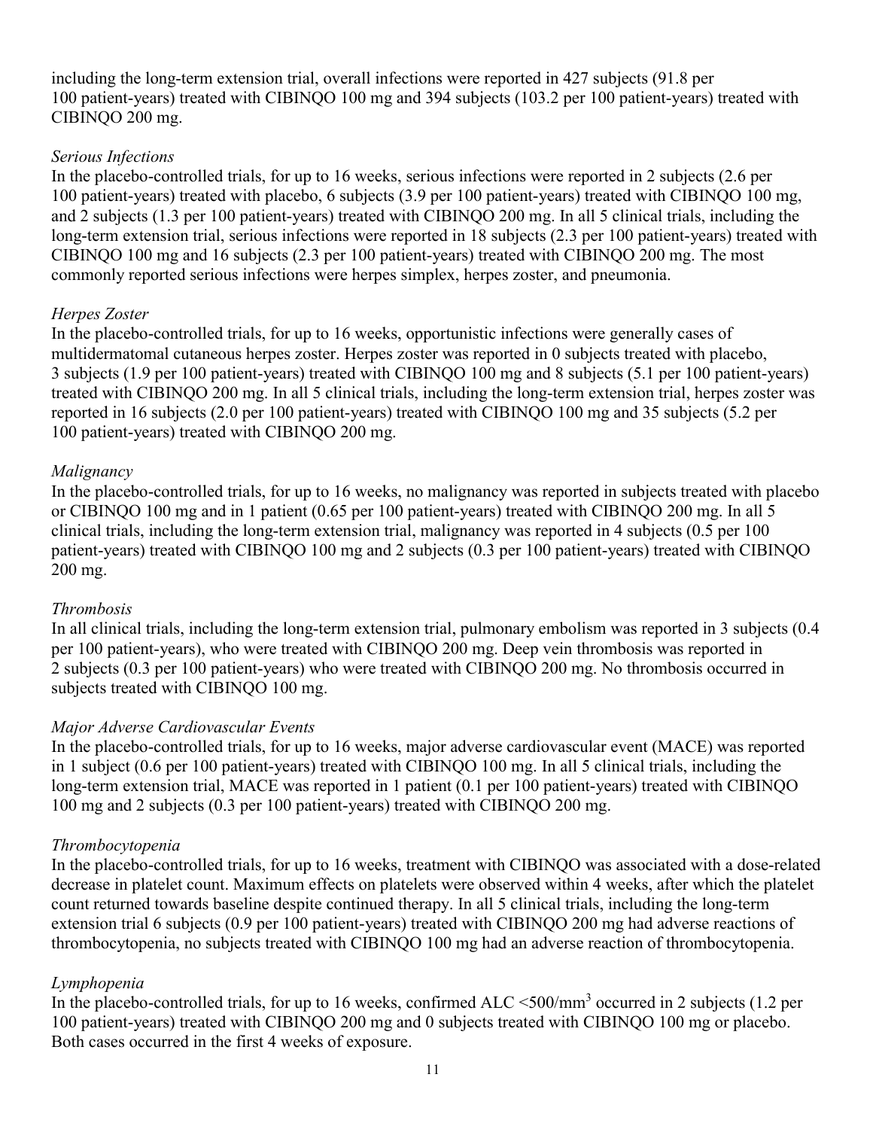including the long-term extension trial, overall infections were reported in 427 subjects (91.8 per 100 patient-years) treated with CIBINQO 100 mg and 394 subjects (103.2 per 100 patient-years) treated with CIBINQO 200 mg.

#### *Serious Infections*

In the placebo-controlled trials, for up to 16 weeks, serious infections were reported in 2 subjects (2.6 per 100 patient-years) treated with placebo, 6 subjects (3.9 per 100 patient-years) treated with CIBINQO 100 mg, and 2 subjects (1.3 per 100 patient-years) treated with CIBINQO 200 mg. In all 5 clinical trials, including the long-term extension trial, serious infections were reported in 18 subjects (2.3 per 100 patient-years) treated with CIBINQO 100 mg and 16 subjects (2.3 per 100 patient-years) treated with CIBINQO 200 mg. The most commonly reported serious infections were herpes simplex, herpes zoster, and pneumonia.

#### *Herpes Zoster*

In the placebo-controlled trials, for up to 16 weeks, opportunistic infections were generally cases of multidermatomal cutaneous herpes zoster. Herpes zoster was reported in 0 subjects treated with placebo, 3 subjects (1.9 per 100 patient-years) treated with CIBINQO 100 mg and 8 subjects (5.1 per 100 patient-years) treated with CIBINQO 200 mg. In all 5 clinical trials, including the long-term extension trial, herpes zoster was reported in 16 subjects (2.0 per 100 patient-years) treated with CIBINQO 100 mg and 35 subjects (5.2 per 100 patient-years) treated with CIBINQO 200 mg.

#### *Malignancy*

In the placebo-controlled trials, for up to 16 weeks, no malignancy was reported in subjects treated with placebo or CIBINQO 100 mg and in 1 patient (0.65 per 100 patient-years) treated with CIBINQO 200 mg. In all 5 clinical trials, including the long-term extension trial, malignancy was reported in 4 subjects (0.5 per 100 patient-years) treated with CIBINQO 100 mg and 2 subjects (0.3 per 100 patient-years) treated with CIBINQO 200 mg.

#### *Thrombosis*

In all clinical trials, including the long-term extension trial, pulmonary embolism was reported in 3 subjects (0.4 per 100 patient-years), who were treated with CIBINQO 200 mg. Deep vein thrombosis was reported in 2 subjects (0.3 per 100 patient-years) who were treated with CIBINQO 200 mg. No thrombosis occurred in subjects treated with CIBINQO 100 mg.

#### *Major Adverse Cardiovascular Events*

In the placebo-controlled trials, for up to 16 weeks, major adverse cardiovascular event (MACE) was reported in 1 subject (0.6 per 100 patient-years) treated with CIBINQO 100 mg. In all 5 clinical trials, including the long-term extension trial, MACE was reported in 1 patient (0.1 per 100 patient-years) treated with CIBINQO 100 mg and 2 subjects (0.3 per 100 patient-years) treated with CIBINQO 200 mg.

#### *Thrombocytopenia*

In the placebo-controlled trials, for up to 16 weeks, treatment with CIBINQO was associated with a dose-related decrease in platelet count. Maximum effects on platelets were observed within 4 weeks, after which the platelet count returned towards baseline despite continued therapy. In all 5 clinical trials, including the long-term extension trial 6 subjects (0.9 per 100 patient-years) treated with CIBINQO 200 mg had adverse reactions of thrombocytopenia, no subjects treated with CIBINQO 100 mg had an adverse reaction of thrombocytopenia.

#### *Lymphopenia*

In the placebo-controlled trials, for up to 16 weeks, confirmed ALC <500/mm<sup>3</sup> occurred in 2 subjects (1.2 per 100 patient-years) treated with CIBINQO 200 mg and 0 subjects treated with CIBINQO 100 mg or placebo. Both cases occurred in the first 4 weeks of exposure.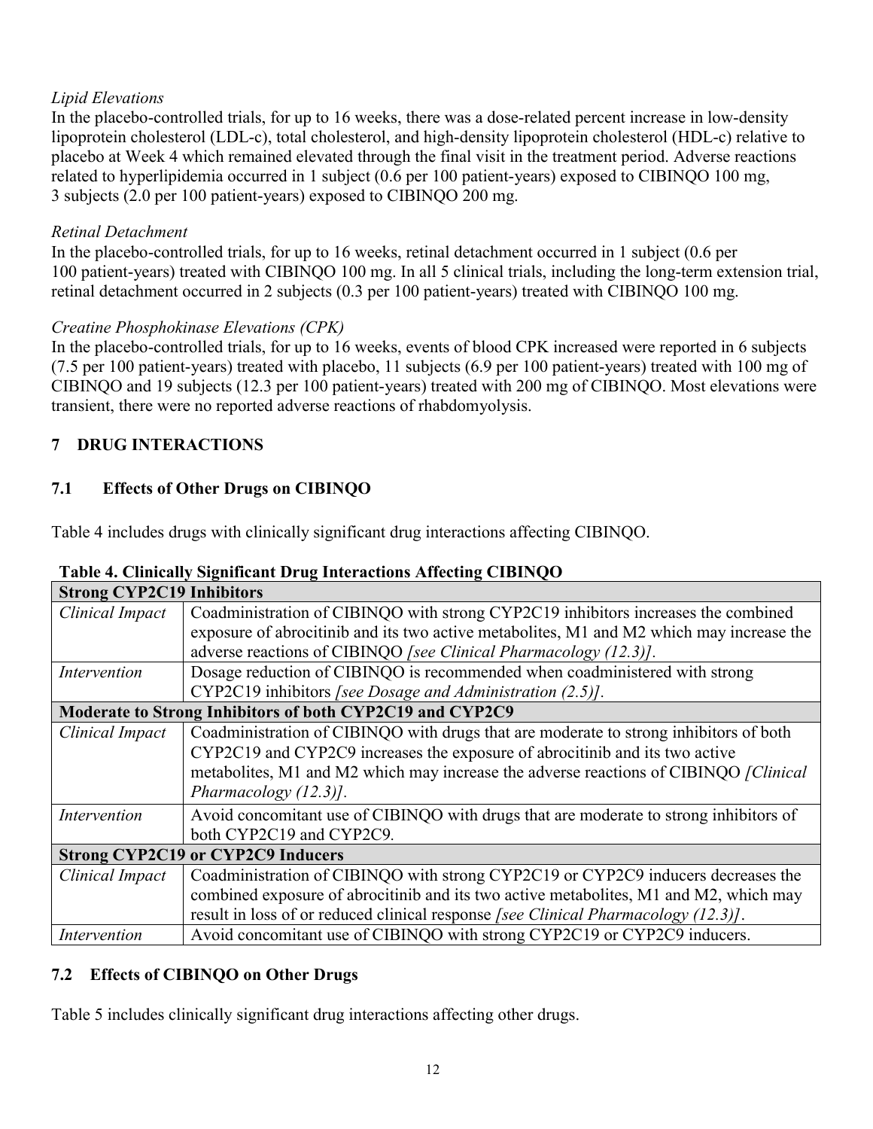## *Lipid Elevations*

In the placebo-controlled trials, for up to 16 weeks, there was a dose-related percent increase in low-density lipoprotein cholesterol (LDL-c), total cholesterol, and high-density lipoprotein cholesterol (HDL-c) relative to placebo at Week 4 which remained elevated through the final visit in the treatment period. Adverse reactions related to hyperlipidemia occurred in 1 subject (0.6 per 100 patient-years) exposed to CIBINQO 100 mg, 3 subjects (2.0 per 100 patient-years) exposed to CIBINQO 200 mg.

### *Retinal Detachment*

In the placebo-controlled trials, for up to 16 weeks, retinal detachment occurred in 1 subject (0.6 per 100 patient-years) treated with CIBINQO 100 mg. In all 5 clinical trials, including the long-term extension trial, retinal detachment occurred in 2 subjects (0.3 per 100 patient-years) treated with CIBINQO 100 mg.

## *Creatine Phosphokinase Elevations (CPK)*

In the placebo-controlled trials, for up to 16 weeks, events of blood CPK increased were reported in 6 subjects (7.5 per 100 patient-years) treated with placebo, 11 subjects (6.9 per 100 patient-years) treated with 100 mg of CIBINQO and 19 subjects (12.3 per 100 patient-years) treated with 200 mg of CIBINQO. Most elevations were transient, there were no reported adverse reactions of rhabdomyolysis.

## **7 DRUG INTERACTIONS**

## **7.1 Effects of Other Drugs on CIBINQO**

Table 4 includes drugs with clinically significant drug interactions affecting CIBINQO.

| <b>Strong CYP2C19 Inhibitors</b> |                                                                                          |
|----------------------------------|------------------------------------------------------------------------------------------|
| Clinical Impact                  | Coadministration of CIBINQO with strong CYP2C19 inhibitors increases the combined        |
|                                  | exposure of abrocitinib and its two active metabolites, M1 and M2 which may increase the |
|                                  | adverse reactions of CIBINQO [see Clinical Pharmacology (12.3)].                         |
| Intervention                     | Dosage reduction of CIBINQO is recommended when coadministered with strong               |
|                                  | CYP2C19 inhibitors [see Dosage and Administration (2.5)].                                |
|                                  | Moderate to Strong Inhibitors of both CYP2C19 and CYP2C9                                 |
| Clinical Impact                  | Coadministration of CIBINQO with drugs that are moderate to strong inhibitors of both    |
|                                  | CYP2C19 and CYP2C9 increases the exposure of abrocitinib and its two active              |
|                                  | metabolites, M1 and M2 which may increase the adverse reactions of CIBINQO [Clinical]    |
|                                  | Pharmacology $(12.3)$ ].                                                                 |
| Intervention                     | Avoid concomitant use of CIBINQO with drugs that are moderate to strong inhibitors of    |
|                                  | both CYP2C19 and CYP2C9.                                                                 |
|                                  | <b>Strong CYP2C19 or CYP2C9 Inducers</b>                                                 |
| Clinical Impact                  | Coadministration of CIBINQO with strong CYP2C19 or CYP2C9 inducers decreases the         |
|                                  | combined exposure of abrocitinib and its two active metabolites, M1 and M2, which may    |
|                                  | result in loss of or reduced clinical response [see Clinical Pharmacology (12.3)].       |
| Intervention                     | Avoid concomitant use of CIBINQO with strong CYP2C19 or CYP2C9 inducers.                 |

## **Table 4. Clinically Significant Drug Interactions Affecting CIBINQO**

## **7.2 Effects of CIBINQO on Other Drugs**

Table 5 includes clinically significant drug interactions affecting other drugs.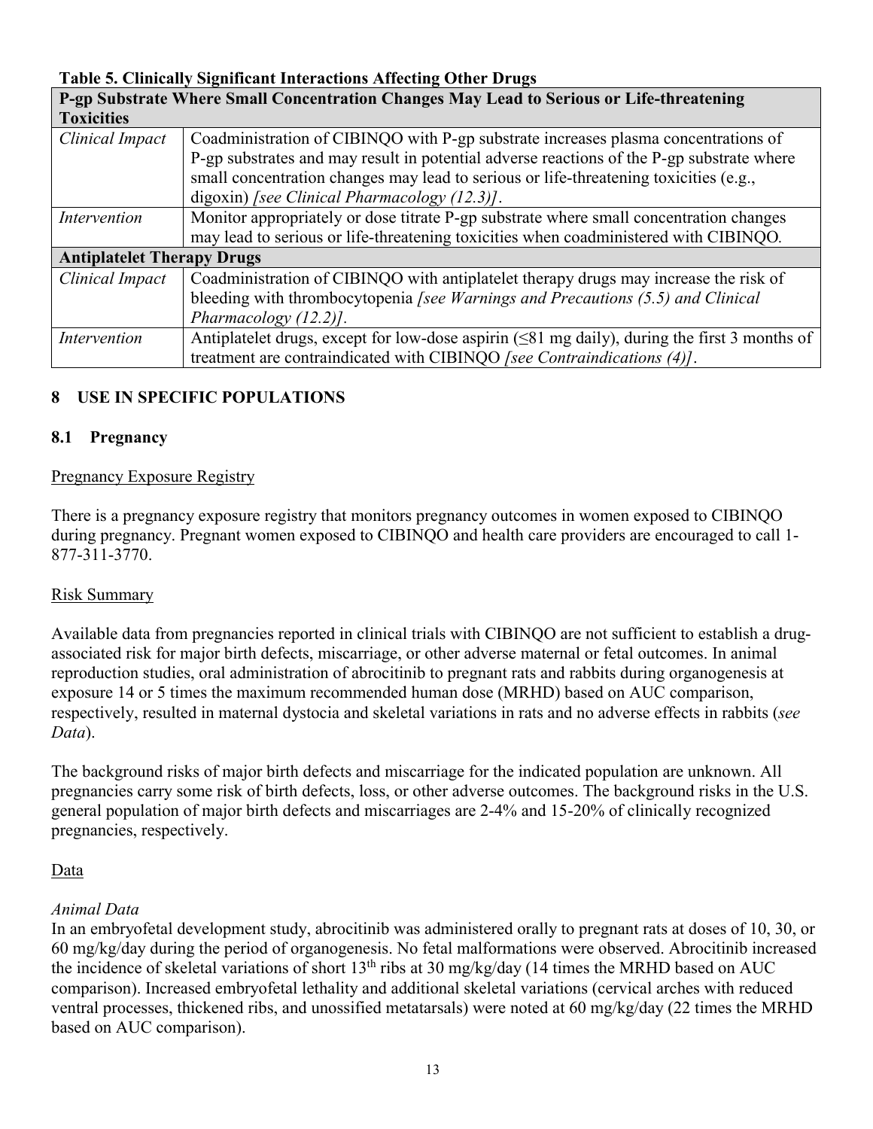#### **Table 5. Clinically Significant Interactions Affecting Other Drugs**

|                                   | P-gp Substrate Where Small Concentration Changes May Lead to Serious or Life-threatening                    |  |  |  |
|-----------------------------------|-------------------------------------------------------------------------------------------------------------|--|--|--|
| <b>Toxicities</b>                 |                                                                                                             |  |  |  |
| Clinical Impact                   | Coadministration of CIBINQO with P-gp substrate increases plasma concentrations of                          |  |  |  |
|                                   | P-gp substrates and may result in potential adverse reactions of the P-gp substrate where                   |  |  |  |
|                                   | small concentration changes may lead to serious or life-threatening toxicities (e.g.,                       |  |  |  |
|                                   | digoxin) [see Clinical Pharmacology $(12.3)$ ].                                                             |  |  |  |
| Intervention                      | Monitor appropriately or dose titrate P-gp substrate where small concentration changes                      |  |  |  |
|                                   | may lead to serious or life-threatening toxicities when coadministered with CIBINQO.                        |  |  |  |
| <b>Antiplatelet Therapy Drugs</b> |                                                                                                             |  |  |  |
| Clinical Impact                   | Coadministration of CIBINQO with antiplatelet therapy drugs may increase the risk of                        |  |  |  |
|                                   | bleeding with thrombocytopenia [see Warnings and Precautions (5.5) and Clinical                             |  |  |  |
|                                   | Pharmacology $(12.2)$ ].                                                                                    |  |  |  |
| Intervention                      | Antiplatelet drugs, except for low-dose aspirin $(\leq 81 \text{ mg daily})$ , during the first 3 months of |  |  |  |
|                                   | treatment are contraindicated with CIBINQO [see Contraindications (4)].                                     |  |  |  |

#### **8 USE IN SPECIFIC POPULATIONS**

#### **8.1 Pregnancy**

#### Pregnancy Exposure Registry

There is a pregnancy exposure registry that monitors pregnancy outcomes in women exposed to CIBINQO during pregnancy. Pregnant women exposed to CIBINQO and health care providers are encouraged to call 1- 877-311-3770.

#### Risk Summary

Available data from pregnancies reported in clinical trials with CIBINQO are not sufficient to establish a drugassociated risk for major birth defects, miscarriage, or other adverse maternal or fetal outcomes. In animal reproduction studies, oral administration of abrocitinib to pregnant rats and rabbits during organogenesis at exposure 14 or 5 times the maximum recommended human dose (MRHD) based on AUC comparison, respectively, resulted in maternal dystocia and skeletal variations in rats and no adverse effects in rabbits (*see Data*).

The background risks of major birth defects and miscarriage for the indicated population are unknown. All pregnancies carry some risk of birth defects, loss, or other adverse outcomes. The background risks in the U.S. general population of major birth defects and miscarriages are 2-4% and 15-20% of clinically recognized pregnancies, respectively.

#### **Data**

#### *Animal Data*

In an embryofetal development study, abrocitinib was administered orally to pregnant rats at doses of 10, 30, or 60 mg/kg/day during the period of organogenesis. No fetal malformations were observed. Abrocitinib increased the incidence of skeletal variations of short 13th ribs at 30 mg/kg/day (14 times the MRHD based on AUC comparison). Increased embryofetal lethality and additional skeletal variations (cervical arches with reduced ventral processes, thickened ribs, and unossified metatarsals) were noted at 60 mg/kg/day (22 times the MRHD based on AUC comparison).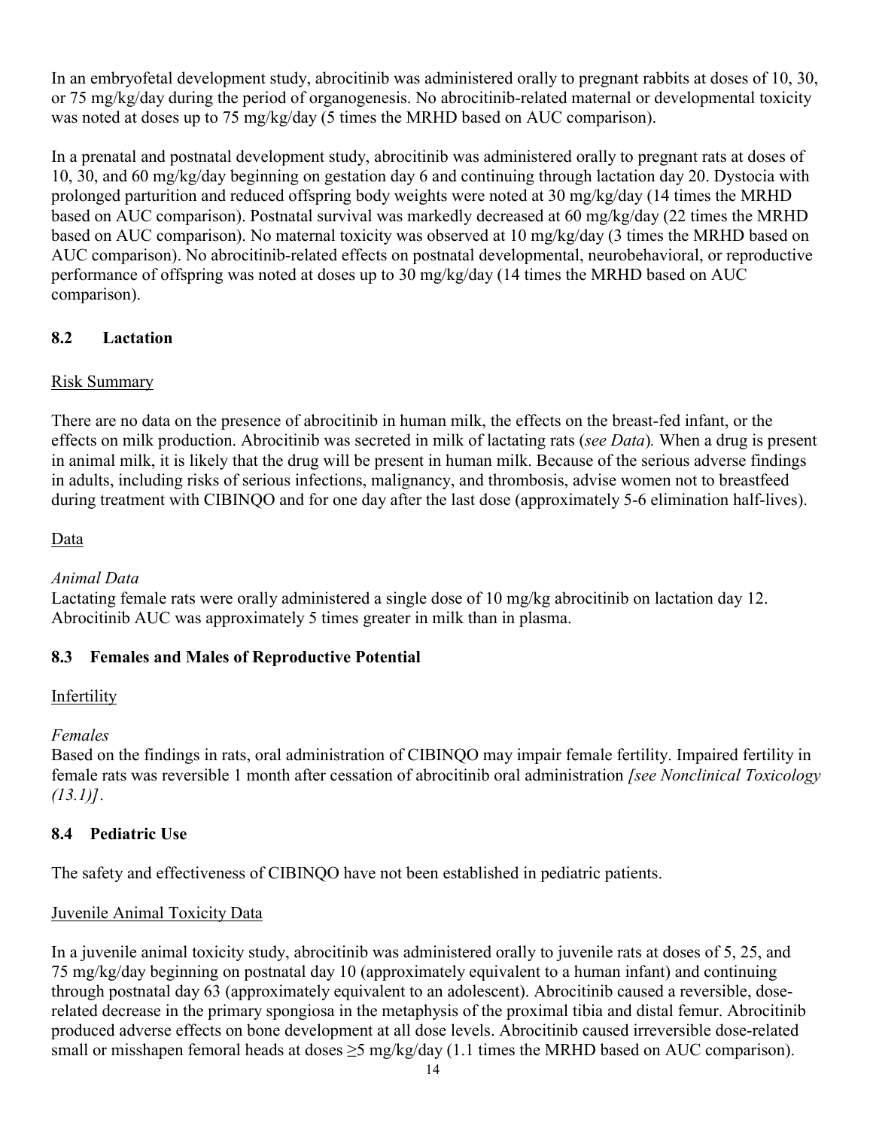In an embryofetal development study, abrocitinib was administered orally to pregnant rabbits at doses of 10, 30, or 75 mg/kg/day during the period of organogenesis. No abrocitinib-related maternal or developmental toxicity was noted at doses up to 75 mg/kg/day (5 times the MRHD based on AUC comparison).

In a prenatal and postnatal development study, abrocitinib was administered orally to pregnant rats at doses of 10, 30, and 60 mg/kg/day beginning on gestation day 6 and continuing through lactation day 20. Dystocia with prolonged parturition and reduced offspring body weights were noted at 30 mg/kg/day (14 times the MRHD based on AUC comparison). Postnatal survival was markedly decreased at 60 mg/kg/day (22 times the MRHD based on AUC comparison). No maternal toxicity was observed at 10 mg/kg/day (3 times the MRHD based on AUC comparison). No abrocitinib-related effects on postnatal developmental, neurobehavioral, or reproductive performance of offspring was noted at doses up to 30 mg/kg/day (14 times the MRHD based on AUC comparison).

## **8.2 Lactation**

## Risk Summary

There are no data on the presence of abrocitinib in human milk, the effects on the breast-fed infant, or the effects on milk production. Abrocitinib was secreted in milk of lactating rats (*see Data*)*.* When a drug is present in animal milk, it is likely that the drug will be present in human milk. Because of the serious adverse findings in adults, including risks of serious infections, malignancy, and thrombosis, advise women not to breastfeed during treatment with CIBINQO and for one day after the last dose (approximately 5-6 elimination half-lives).

## Data

#### *Animal Data*

Lactating female rats were orally administered a single dose of 10 mg/kg abrocitinib on lactation day 12. Abrocitinib AUC was approximately 5 times greater in milk than in plasma.

## **8.3 Females and Males of Reproductive Potential**

## **Infertility**

#### *Females*

Based on the findings in rats, oral administration of CIBINQO may impair female fertility. Impaired fertility in female rats was reversible 1 month after cessation of abrocitinib oral administration *[see Nonclinical Toxicology (13.1)]*.

## **8.4 Pediatric Use**

The safety and effectiveness of CIBINQO have not been established in pediatric patients.

## Juvenile Animal Toxicity Data

In a juvenile animal toxicity study, abrocitinib was administered orally to juvenile rats at doses of 5, 25, and 75 mg/kg/day beginning on postnatal day 10 (approximately equivalent to a human infant) and continuing through postnatal day 63 (approximately equivalent to an adolescent). Abrocitinib caused a reversible, doserelated decrease in the primary spongiosa in the metaphysis of the proximal tibia and distal femur. Abrocitinib produced adverse effects on bone development at all dose levels. Abrocitinib caused irreversible dose-related small or misshapen femoral heads at doses  $\geq$ 5 mg/kg/day (1.1 times the MRHD based on AUC comparison).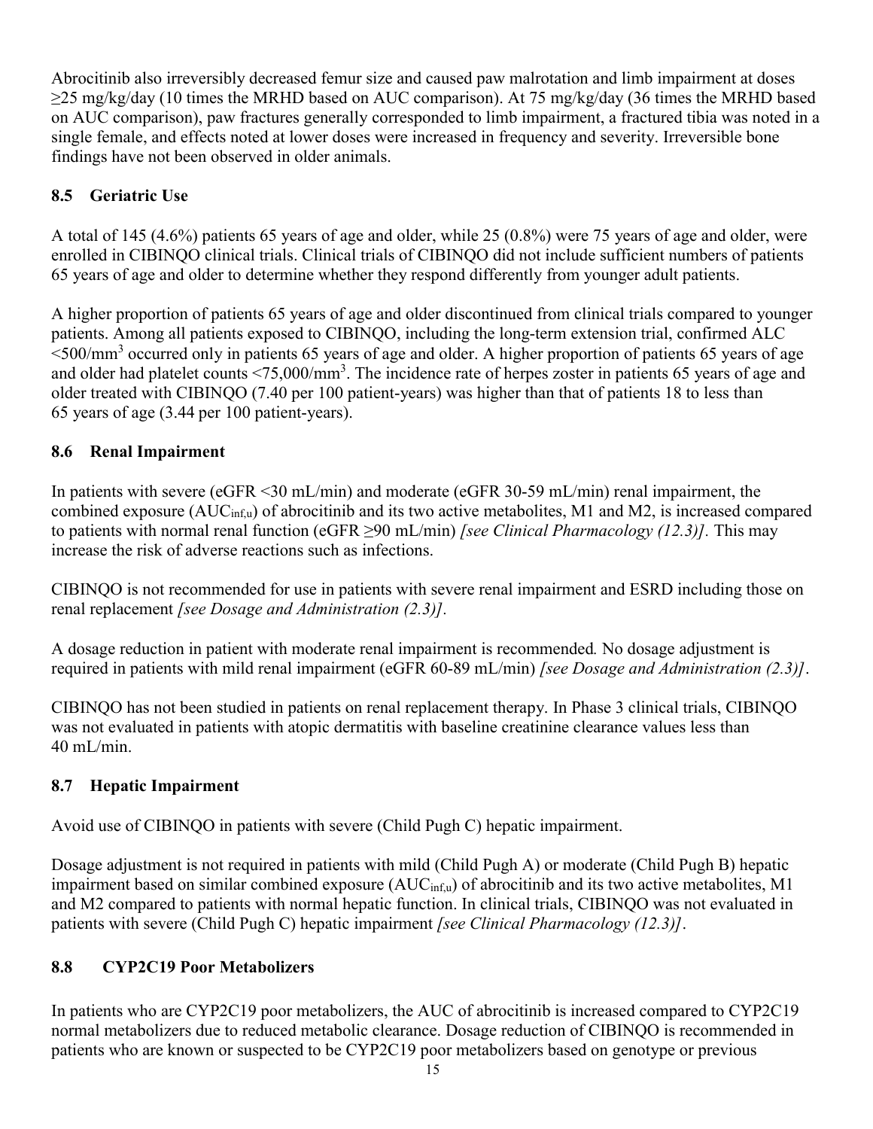Abrocitinib also irreversibly decreased femur size and caused paw malrotation and limb impairment at doses ≥25 mg/kg/day (10 times the MRHD based on AUC comparison). At 75 mg/kg/day (36 times the MRHD based on AUC comparison), paw fractures generally corresponded to limb impairment, a fractured tibia was noted in a single female, and effects noted at lower doses were increased in frequency and severity. Irreversible bone findings have not been observed in older animals.

## **8.5 Geriatric Use**

A total of 145 (4.6%) patients 65 years of age and older, while 25 (0.8%) were 75 years of age and older, were enrolled in CIBINQO clinical trials. Clinical trials of CIBINQO did not include sufficient numbers of patients 65 years of age and older to determine whether they respond differently from younger adult patients.

A higher proportion of patients 65 years of age and older discontinued from clinical trials compared to younger patients. Among all patients exposed to CIBINQO, including the long-term extension trial, confirmed ALC  $\leq$ 500/mm<sup>3</sup> occurred only in patients 65 years of age and older. A higher proportion of patients 65 years of age and older had platelet counts  $\langle 75,000/\text{mm}^3$ . The incidence rate of herpes zoster in patients 65 years of age and older treated with CIBINQO (7.40 per 100 patient-years) was higher than that of patients 18 to less than 65 years of age (3.44 per 100 patient-years).

## **8.6 Renal Impairment**

In patients with severe (eGFR  $\leq$ 30 mL/min) and moderate (eGFR 30-59 mL/min) renal impairment, the combined exposure (AUCinf,u) of abrocitinib and its two active metabolites, M1 and M2, is increased compared to patients with normal renal function (eGFR ≥90 mL/min) *[see Clinical Pharmacology (12.3)].* This may increase the risk of adverse reactions such as infections.

CIBINQO is not recommended for use in patients with severe renal impairment and ESRD including those on renal replacement *[see Dosage and Administration (2.3)].*

A dosage reduction in patient with moderate renal impairment is recommended*.* No dosage adjustment is required in patients with mild renal impairment (eGFR 60-89 mL/min) *[see Dosage and Administration (2.3)]*.

CIBINQO has not been studied in patients on renal replacement therapy. In Phase 3 clinical trials, CIBINQO was not evaluated in patients with atopic dermatitis with baseline creatinine clearance values less than 40 mL/min.

## **8.7 Hepatic Impairment**

Avoid use of CIBINQO in patients with severe (Child Pugh C) hepatic impairment.

Dosage adjustment is not required in patients with mild (Child Pugh A) or moderate (Child Pugh B) hepatic impairment based on similar combined exposure (AUC<sub>inf,u</sub>) of abrocitinib and its two active metabolites, M1 and M2 compared to patients with normal hepatic function. In clinical trials, CIBINQO was not evaluated in patients with severe (Child Pugh C) hepatic impairment *[see Clinical Pharmacology (12.3)]*.

## **8.8 CYP2C19 Poor Metabolizers**

In patients who are CYP2C19 poor metabolizers, the AUC of abrocitinib is increased compared to CYP2C19 normal metabolizers due to reduced metabolic clearance. Dosage reduction of CIBINQO is recommended in patients who are known or suspected to be CYP2C19 poor metabolizers based on genotype or previous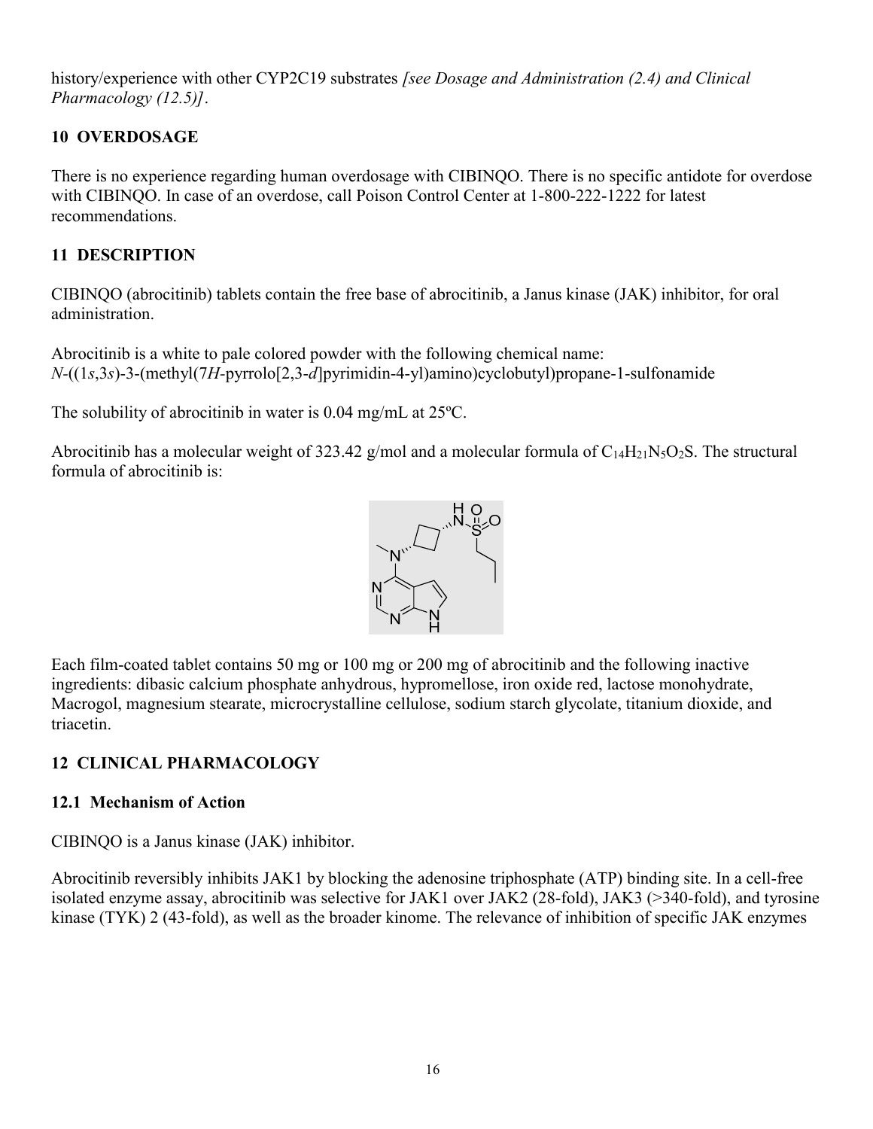history/experience with other CYP2C19 substrates *[see Dosage and Administration (2.4) and Clinical Pharmacology (12.5)]*.

## **10 OVERDOSAGE**

There is no experience regarding human overdosage with CIBINQO. There is no specific antidote for overdose with CIBINQO. In case of an overdose, call Poison Control Center at 1-800-222-1222 for latest recommendations.

## **11 DESCRIPTION**

CIBINQO (abrocitinib) tablets contain the free base of abrocitinib, a Janus kinase (JAK) inhibitor, for oral administration.

Abrocitinib is a white to pale colored powder with the following chemical name: *N-*((1*s*,3*s*)-3-(methyl(7*H-*pyrrolo[2,3-*d*]pyrimidin-4-yl)amino)cyclobutyl)propane-1-sulfonamide

The solubility of abrocitinib in water is 0.04 mg/mL at 25ºC.

Abrocitinib has a molecular weight of 323.42 g/mol and a molecular formula of  $C_{14}H_{21}N_5O_2S$ . The structural formula of abrocitinib is:



Each film-coated tablet contains 50 mg or 100 mg or 200 mg of abrocitinib and the following inactive ingredients: dibasic calcium phosphate anhydrous, hypromellose, iron oxide red, lactose monohydrate, Macrogol, magnesium stearate, microcrystalline cellulose, sodium starch glycolate, titanium dioxide, and triacetin.

## **12 CLINICAL PHARMACOLOGY**

## **12.1 Mechanism of Action**

CIBINQO is a Janus kinase (JAK) inhibitor.

Abrocitinib reversibly inhibits JAK1 by blocking the adenosine triphosphate (ATP) binding site. In a cell-free isolated enzyme assay, abrocitinib was selective for JAK1 over JAK2 (28-fold), JAK3 (>340-fold), and tyrosine kinase (TYK) 2 (43-fold), as well as the broader kinome. The relevance of inhibition of specific JAK enzymes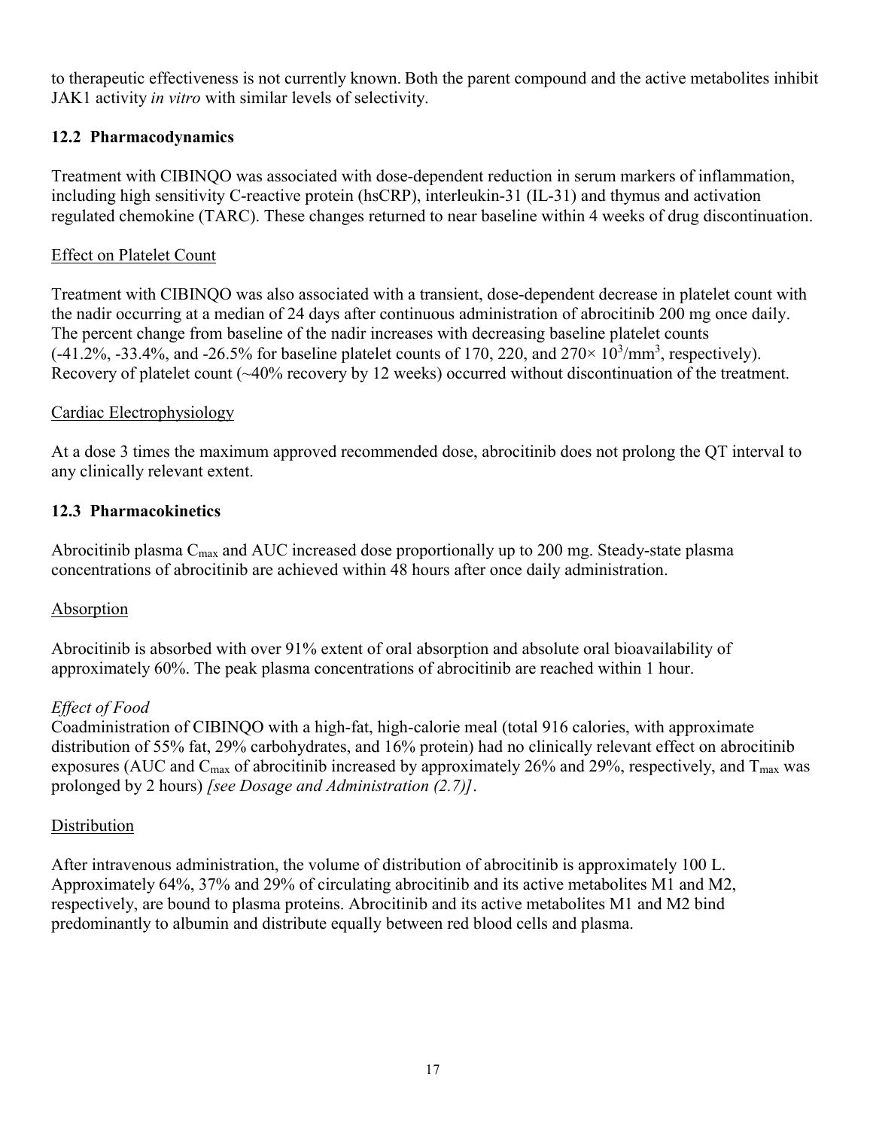to therapeutic effectiveness is not currently known. Both the parent compound and the active metabolites inhibit JAK1 activity *in vitro* with similar levels of selectivity.

## **12.2 Pharmacodynamics**

Treatment with CIBINQO was associated with dose-dependent reduction in serum markers of inflammation, including high sensitivity C-reactive protein (hsCRP), interleukin-31 (IL-31) and thymus and activation regulated chemokine (TARC). These changes returned to near baseline within 4 weeks of drug discontinuation.

## Effect on Platelet Count

Treatment with CIBINQO was also associated with a transient, dose-dependent decrease in platelet count with the nadir occurring at a median of 24 days after continuous administration of abrocitinib 200 mg once daily. The percent change from baseline of the nadir increases with decreasing baseline platelet counts  $(-41.2\%, -33.4\%, \text{ and } -26.5\% \text{ for baseline platelet counts of } 170, 220, \text{ and } 270 \times 10^3/\text{mm}^3, \text{ respectively}).$ Recovery of platelet count (~40% recovery by 12 weeks) occurred without discontinuation of the treatment.

## Cardiac Electrophysiology

At a dose 3 times the maximum approved recommended dose, abrocitinib does not prolong the QT interval to any clinically relevant extent.

## **12.3 Pharmacokinetics**

Abrocitinib plasma  $C_{\text{max}}$  and AUC increased dose proportionally up to 200 mg. Steady-state plasma concentrations of abrocitinib are achieved within 48 hours after once daily administration.

## **Absorption**

Abrocitinib is absorbed with over 91% extent of oral absorption and absolute oral bioavailability of approximately 60%. The peak plasma concentrations of abrocitinib are reached within 1 hour.

#### *Effect of Food*

Coadministration of CIBINQO with a high-fat, high-calorie meal (total 916 calories, with approximate distribution of 55% fat, 29% carbohydrates, and 16% protein) had no clinically relevant effect on abrocitinib exposures (AUC and  $C_{\text{max}}$  of abrocitinib increased by approximately 26% and 29%, respectively, and  $T_{\text{max}}$  was prolonged by 2 hours) *[see Dosage and Administration (2.7)]*.

#### **Distribution**

After intravenous administration, the volume of distribution of abrocitinib is approximately 100 L. Approximately 64%, 37% and 29% of circulating abrocitinib and its active metabolites M1 and M2, respectively, are bound to plasma proteins. Abrocitinib and its active metabolites M1 and M2 bind predominantly to albumin and distribute equally between red blood cells and plasma.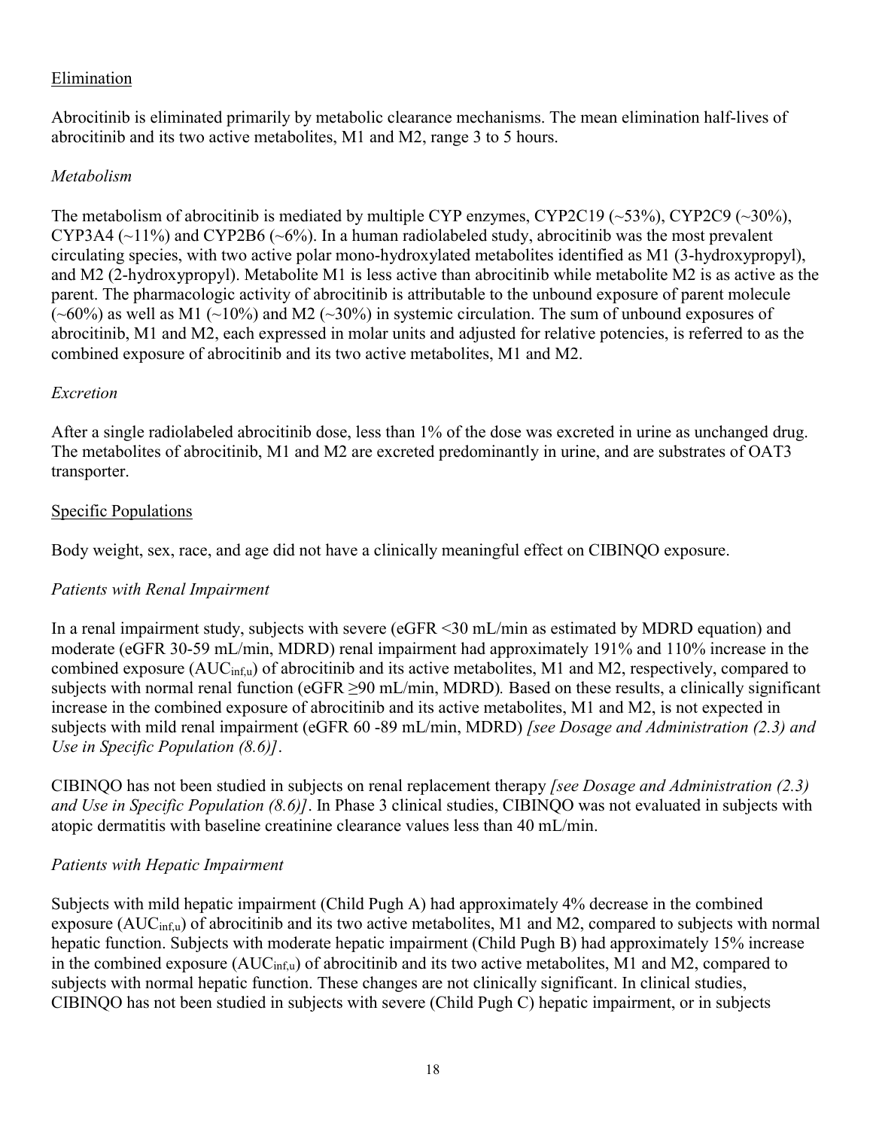## Elimination

Abrocitinib is eliminated primarily by metabolic clearance mechanisms. The mean elimination half-lives of abrocitinib and its two active metabolites, M1 and M2, range 3 to 5 hours.

#### *Metabolism*

The metabolism of abrocitinib is mediated by multiple CYP enzymes, CYP2C19 (~53%), CYP2C9 (~30%), CYP3A4 ( $\sim$ 11%) and CYP2B6 ( $\sim$ 6%). In a human radiolabeled study, abrocitinib was the most prevalent circulating species, with two active polar mono-hydroxylated metabolites identified as M1 (3-hydroxypropyl), and M2 (2-hydroxypropyl). Metabolite M1 is less active than abrocitinib while metabolite M2 is as active as the parent. The pharmacologic activity of abrocitinib is attributable to the unbound exposure of parent molecule  $(\sim 60\%)$  as well as M1 ( $\sim$ 10%) and M2 ( $\sim$ 30%) in systemic circulation. The sum of unbound exposures of abrocitinib, M1 and M2, each expressed in molar units and adjusted for relative potencies, is referred to as the combined exposure of abrocitinib and its two active metabolites, M1 and M2.

#### *Excretion*

After a single radiolabeled abrocitinib dose, less than 1% of the dose was excreted in urine as unchanged drug. The metabolites of abrocitinib, M1 and M2 are excreted predominantly in urine, and are substrates of OAT3 transporter.

#### Specific Populations

Body weight, sex, race, and age did not have a clinically meaningful effect on CIBINQO exposure.

#### *Patients with Renal Impairment*

In a renal impairment study, subjects with severe (eGFR <30 mL/min as estimated by MDRD equation) and moderate (eGFR 30-59 mL/min, MDRD) renal impairment had approximately 191% and 110% increase in the combined exposure  $(AUC_{\text{inf,u}})$  of abrocitinib and its active metabolites, M1 and M2, respectively, compared to subjects with normal renal function (eGFR ≥90 mL/min, MDRD)*.* Based on these results, a clinically significant increase in the combined exposure of abrocitinib and its active metabolites, M1 and M2, is not expected in subjects with mild renal impairment (eGFR 60 -89 mL/min, MDRD) *[see Dosage and Administration (2.3) and Use in Specific Population (8.6)]*.

CIBINQO has not been studied in subjects on renal replacement therapy *[see Dosage and Administration (2.3) and Use in Specific Population (8.6)]*. In Phase 3 clinical studies, CIBINQO was not evaluated in subjects with atopic dermatitis with baseline creatinine clearance values less than 40 mL/min.

#### *Patients with Hepatic Impairment*

Subjects with mild hepatic impairment (Child Pugh A) had approximately 4% decrease in the combined exposure (AUC<sub>inf,u</sub>) of abrocitinib and its two active metabolites, M1 and M2, compared to subjects with normal hepatic function. Subjects with moderate hepatic impairment (Child Pugh B) had approximately 15% increase in the combined exposure  $(AUC_{\text{inf,u}})$  of abrocitinib and its two active metabolites, M1 and M2, compared to subjects with normal hepatic function. These changes are not clinically significant. In clinical studies, CIBINQO has not been studied in subjects with severe (Child Pugh C) hepatic impairment, or in subjects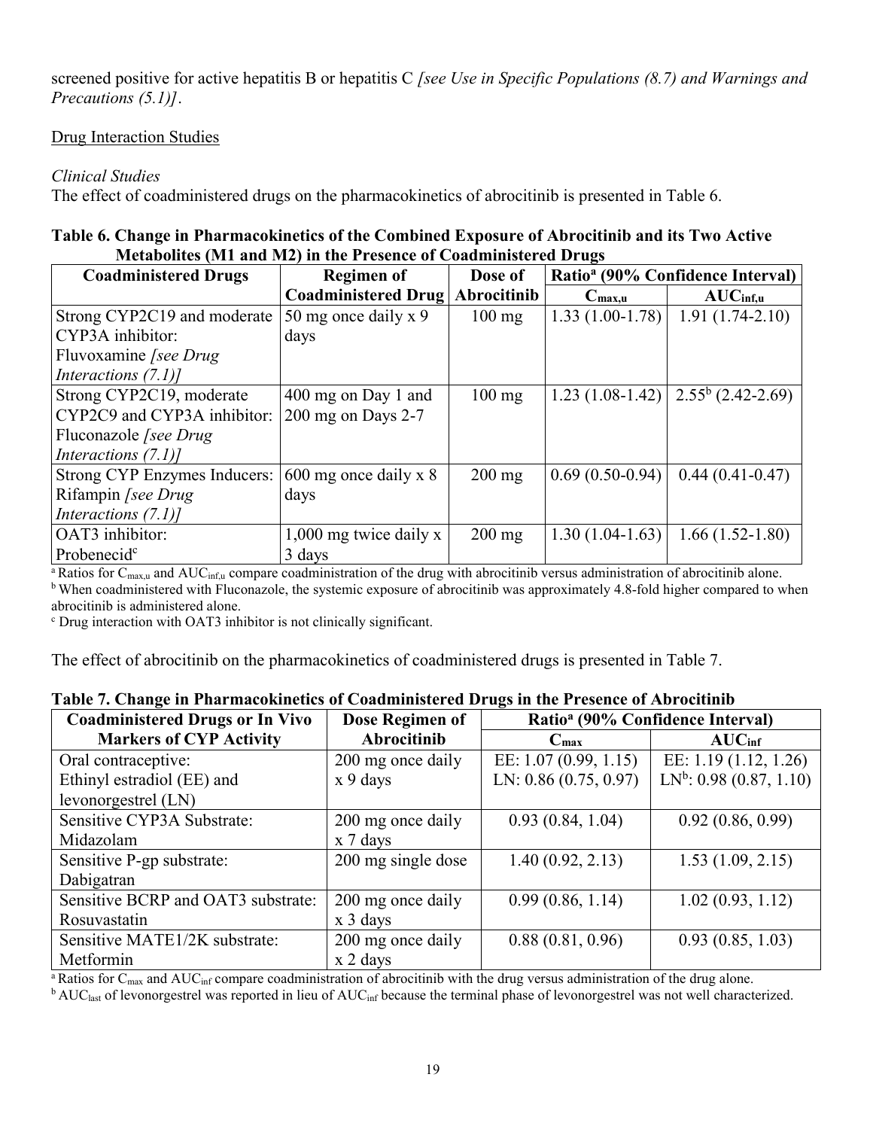screened positive for active hepatitis B or hepatitis C *[see Use in Specific Populations (8.7) and Warnings and Precautions (5.1)]*.

### Drug Interaction Studies

## *Clinical Studies*

The effect of coadministered drugs on the pharmacokinetics of abrocitinib is presented in Table 6.

#### **Table 6. Change in Pharmacokinetics of the Combined Exposure of Abrocitinib and its Two Active Metabolites (M1 and M2) in the Presence of Coadministered Drugs**

| <b>Coadministered Drugs</b>  | <b>Regimen of</b>          | Dose of          | Ratio <sup>a</sup> (90% Confidence Interval) |                      |  |
|------------------------------|----------------------------|------------------|----------------------------------------------|----------------------|--|
|                              | <b>Coadministered Drug</b> | Abrocitinib      | $C_{\text{max},u}$                           | AUC <sub>inf,u</sub> |  |
| Strong CYP2C19 and moderate  | 50 mg once daily $x$ 9     | $100$ mg         | $1.33(1.00-1.78)$                            | $1.91(1.74-2.10)$    |  |
| CYP3A inhibitor:             | days                       |                  |                                              |                      |  |
| Fluvoxamine [see Drug]       |                            |                  |                                              |                      |  |
| Interactions $(7.1)$ ]       |                            |                  |                                              |                      |  |
| Strong CYP2C19, moderate     | 400 mg on Day 1 and        | $100$ mg         | $1.23(1.08-1.42)$                            | $2.55^b$ (2.42-2.69) |  |
| CYP2C9 and CYP3A inhibitor:  | $200$ mg on Days 2-7       |                  |                                              |                      |  |
| Fluconazole [see Drug]       |                            |                  |                                              |                      |  |
| Interactions $(7.1)$ ]       |                            |                  |                                              |                      |  |
| Strong CYP Enzymes Inducers: | $600$ mg once daily x 8    | $200 \text{ mg}$ | $0.69(0.50-0.94)$                            | $0.44(0.41-0.47)$    |  |
| Rifampin [see Drug]          | days                       |                  |                                              |                      |  |
| Interactions $(7.1)$ ]       |                            |                  |                                              |                      |  |
| OAT3 inhibitor:              | $1,000$ mg twice daily x   | $200 \text{ mg}$ | $1.30(1.04-1.63)$                            | $1.66(1.52-1.80)$    |  |
| Probenecid <sup>c</sup>      | 3 days                     |                  |                                              |                      |  |

<sup>a</sup> Ratios for C<sub>max,u</sub> and AUC<sub>inf,u</sub> compare coadministration of the drug with abrocitinib versus administration of abrocitinib alone. <sup>b</sup> When coadministered with Fluconazole, the systemic exposure of abrocitinib was approximately 4.8-fold higher compared to when abrocitinib is administered alone.

<sup>c</sup> Drug interaction with OAT3 inhibitor is not clinically significant.

The effect of abrocitinib on the pharmacokinetics of coadministered drugs is presented in Table 7.

| <b>Coadministered Drugs or In Vivo</b> | Dose Regimen of         | Ratio <sup>a</sup> (90% Confidence Interval) |                            |  |
|----------------------------------------|-------------------------|----------------------------------------------|----------------------------|--|
| <b>Markers of CYP Activity</b>         | Abrocitinib             | $C_{\text{max}}$                             | AUC <sub>inf</sub>         |  |
| Oral contraceptive:                    | 200 mg once daily       | EE: 1.07 (0.99, 1.15)                        | EE: 1.19 (1.12, 1.26)      |  |
| Ethinyl estradiol (EE) and             | x 9 days                | LN: $0.86(0.75, 0.97)$                       | $LN^b$ : 0.98 (0.87, 1.10) |  |
| levonorgestrel (LN)                    |                         |                                              |                            |  |
| Sensitive CYP3A Substrate:             | 200 mg once daily       | 0.93(0.84, 1.04)                             | 0.92(0.86, 0.99)           |  |
| Midazolam                              | x 7 days                |                                              |                            |  |
| Sensitive P-gp substrate:              | 200 mg single dose      | 1.40(0.92, 2.13)                             | 1.53(1.09, 2.15)           |  |
| Dabigatran                             |                         |                                              |                            |  |
| Sensitive BCRP and OAT3 substrate:     | 200 mg once daily       | 0.99(0.86, 1.14)                             | 1.02(0.93, 1.12)           |  |
| Rosuvastatin                           | $x \, 3 \, \text{days}$ |                                              |                            |  |
| Sensitive MATE1/2K substrate:          | 200 mg once daily       | 0.88(0.81, 0.96)                             | 0.93(0.85, 1.03)           |  |
| Metformin                              | x 2 days                |                                              |                            |  |

## **Table 7. Change in Pharmacokinetics of Coadministered Drugs in the Presence of Abrocitinib**

<sup>a</sup> Ratios for  $C_{\text{max}}$  and  $AUC_{\text{inf}}$  compare coadministration of abrocitinib with the drug versus administration of the drug alone.

 $b$  AUC<sub>last</sub> of levonorgestrel was reported in lieu of AUC<sub>inf</sub> because the terminal phase of levonorgestrel was not well characterized.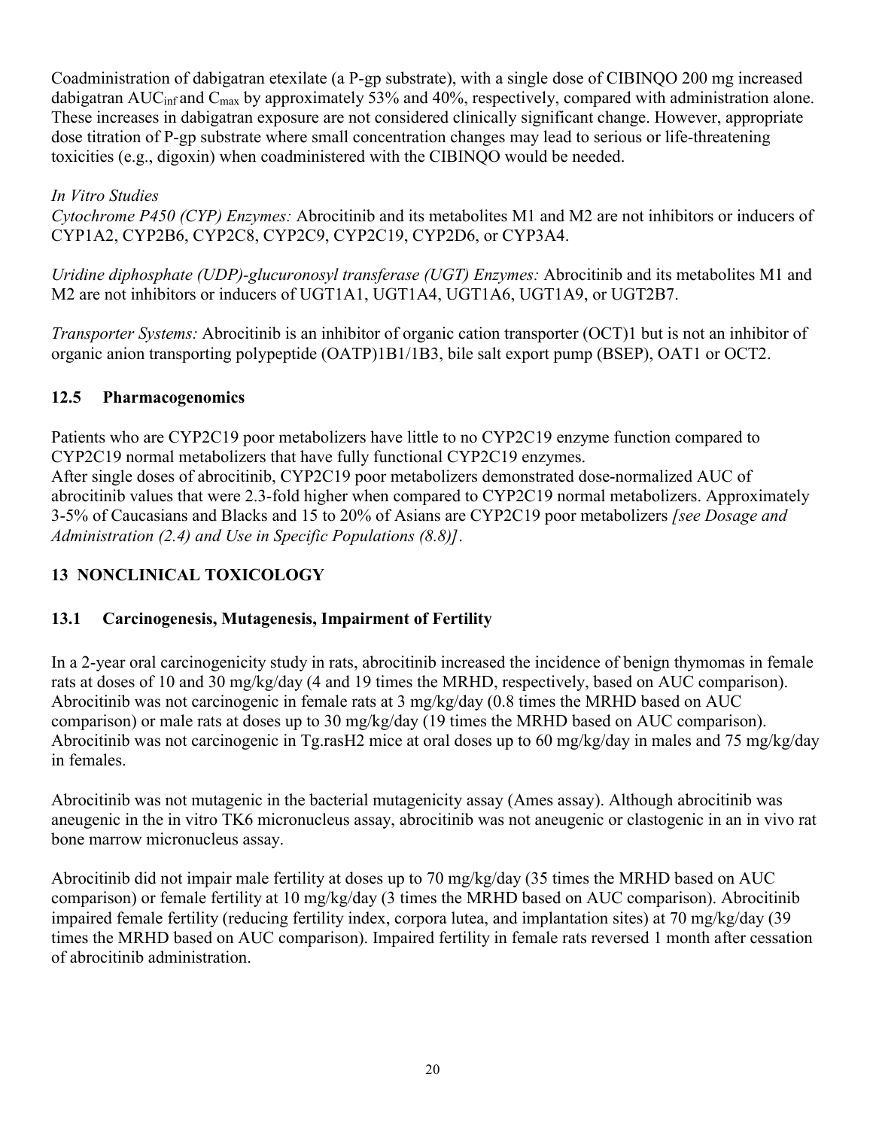Coadministration of dabigatran etexilate (a P-gp substrate), with a single dose of CIBINQO 200 mg increased dabigatran AUC<sub>inf</sub> and C<sub>max</sub> by approximately 53% and 40%, respectively, compared with administration alone. These increases in dabigatran exposure are not considered clinically significant change. However, appropriate dose titration of P-gp substrate where small concentration changes may lead to serious or life-threatening toxicities (e.g., digoxin) when coadministered with the CIBINQO would be needed.

*In Vitro Studies Cytochrome P450 (CYP) Enzymes:* Abrocitinib and its metabolites M1 and M2 are not inhibitors or inducers of CYP1A2, CYP2B6, CYP2C8, CYP2C9, CYP2C19, CYP2D6, or CYP3A4.

*Uridine diphosphate (UDP)-glucuronosyl transferase (UGT) Enzymes:* Abrocitinib and its metabolites M1 and M2 are not inhibitors or inducers of UGT1A1, UGT1A4, UGT1A6, UGT1A9, or UGT2B7.

*Transporter Systems:* Abrocitinib is an inhibitor of organic cation transporter (OCT)1 but is not an inhibitor of organic anion transporting polypeptide (OATP)1B1/1B3, bile salt export pump (BSEP), OAT1 or OCT2.

## **12.5 Pharmacogenomics**

Patients who are CYP2C19 poor metabolizers have little to no CYP2C19 enzyme function compared to CYP2C19 normal metabolizers that have fully functional CYP2C19 enzymes. After single doses of abrocitinib, CYP2C19 poor metabolizers demonstrated dose-normalized AUC of abrocitinib values that were 2.3-fold higher when compared to CYP2C19 normal metabolizers. Approximately 3-5% of Caucasians and Blacks and 15 to 20% of Asians are CYP2C19 poor metabolizers *[see Dosage and Administration (2.4) and Use in Specific Populations (8.8)]*.

## **13 NONCLINICAL TOXICOLOGY**

## **13.1 Carcinogenesis, Mutagenesis, Impairment of Fertility**

In a 2-year oral carcinogenicity study in rats, abrocitinib increased the incidence of benign thymomas in female rats at doses of 10 and 30 mg/kg/day (4 and 19 times the MRHD, respectively, based on AUC comparison). Abrocitinib was not carcinogenic in female rats at 3 mg/kg/day (0.8 times the MRHD based on AUC comparison) or male rats at doses up to 30 mg/kg/day (19 times the MRHD based on AUC comparison). Abrocitinib was not carcinogenic in Tg.rasH2 mice at oral doses up to 60 mg/kg/day in males and 75 mg/kg/day in females.

Abrocitinib was not mutagenic in the bacterial mutagenicity assay (Ames assay). Although abrocitinib was aneugenic in the in vitro TK6 micronucleus assay, abrocitinib was not aneugenic or clastogenic in an in vivo rat bone marrow micronucleus assay.

Abrocitinib did not impair male fertility at doses up to 70 mg/kg/day (35 times the MRHD based on AUC comparison) or female fertility at 10 mg/kg/day (3 times the MRHD based on AUC comparison). Abrocitinib impaired female fertility (reducing fertility index, corpora lutea, and implantation sites) at 70 mg/kg/day (39 times the MRHD based on AUC comparison). Impaired fertility in female rats reversed 1 month after cessation of abrocitinib administration.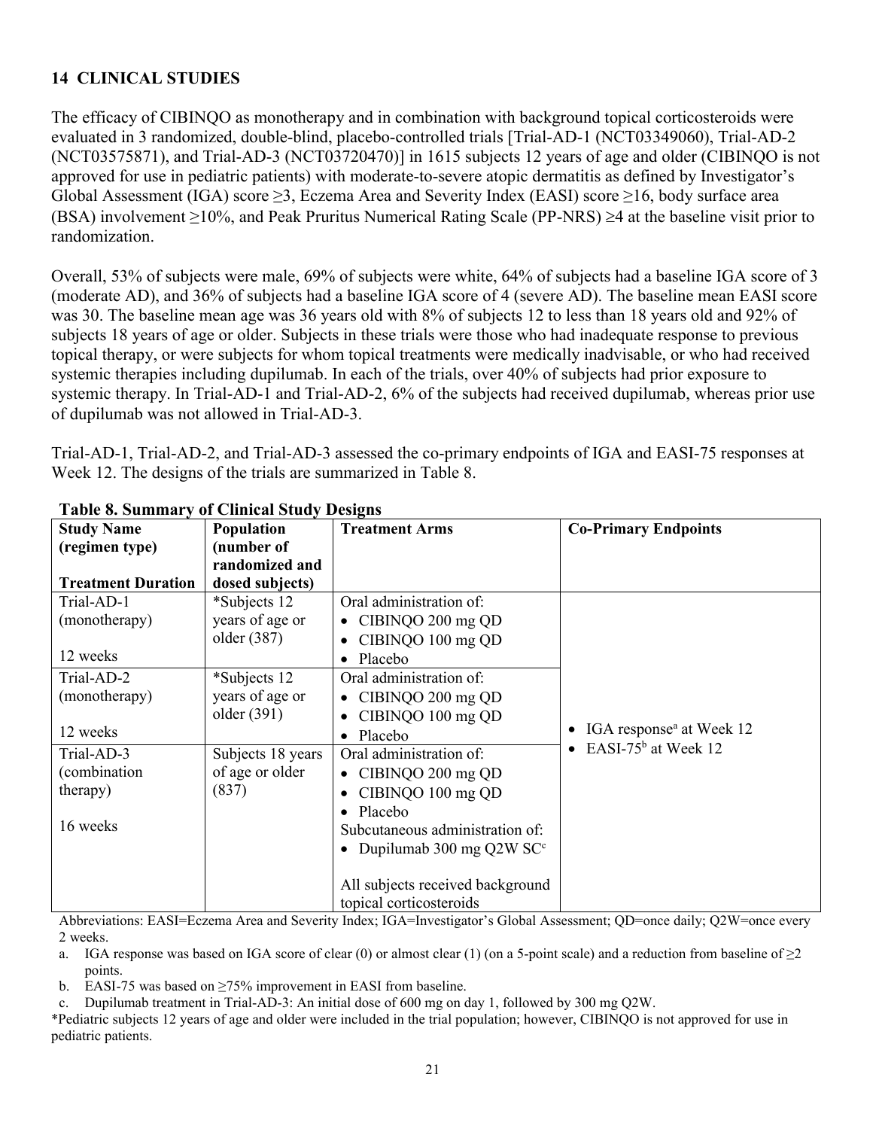## **14 CLINICAL STUDIES**

The efficacy of CIBINQO as monotherapy and in combination with background topical corticosteroids were evaluated in 3 randomized, double-blind, placebo-controlled trials [Trial-AD-1 (NCT03349060), Trial-AD-2 (NCT03575871), and Trial-AD-3 (NCT03720470)] in 1615 subjects 12 years of age and older (CIBINQO is not approved for use in pediatric patients) with moderate-to-severe atopic dermatitis as defined by Investigator's Global Assessment (IGA) score  $\geq$ 3, Eczema Area and Severity Index (EASI) score  $\geq$ 16, body surface area (BSA) involvement  $\geq$ 10%, and Peak Pruritus Numerical Rating Scale (PP-NRS)  $\geq$ 4 at the baseline visit prior to randomization.

Overall, 53% of subjects were male, 69% of subjects were white, 64% of subjects had a baseline IGA score of 3 (moderate AD), and 36% of subjects had a baseline IGA score of 4 (severe AD). The baseline mean EASI score was 30. The baseline mean age was 36 years old with 8% of subjects 12 to less than 18 years old and 92% of subjects 18 years of age or older. Subjects in these trials were those who had inadequate response to previous topical therapy, or were subjects for whom topical treatments were medically inadvisable, or who had received systemic therapies including dupilumab. In each of the trials, over 40% of subjects had prior exposure to systemic therapy. In Trial-AD-1 and Trial-AD-2, 6% of the subjects had received dupilumab, whereas prior use of dupilumab was not allowed in Trial-AD-3.

Trial-AD-1, Trial-AD-2, and Trial-AD-3 assessed the co-primary endpoints of IGA and EASI-75 responses at Week 12. The designs of the trials are summarized in Table 8.

| <b>Study Name</b>         | Population        | <b>Treatment Arms</b>            | <b>Co-Primary Endpoints</b>                  |
|---------------------------|-------------------|----------------------------------|----------------------------------------------|
| (regimen type)            | (number of        |                                  |                                              |
|                           | randomized and    |                                  |                                              |
| <b>Treatment Duration</b> | dosed subjects)   |                                  |                                              |
| Trial-AD-1                | *Subjects 12      | Oral administration of:          |                                              |
| (monotherapy)             | years of age or   | • CIBINQO 200 mg QD              |                                              |
|                           | older (387)       | CIBINQO 100 mg QD<br>$\bullet$   |                                              |
| 12 weeks                  |                   | Placebo<br>$\bullet$             |                                              |
| Trial-AD-2                | *Subjects 12      | Oral administration of:          |                                              |
| (monotherapy)             | years of age or   | $\bullet$ CIBINQO 200 mg QD      |                                              |
|                           | older (391)       | CIBINQO 100 mg QD                |                                              |
| 12 weeks                  |                   | Placebo<br>$\bullet$             | IGA response <sup>a</sup> at Week 12         |
| Trial-AD-3                | Subjects 18 years | Oral administration of:          | EASI-75 <sup>b</sup> at Week 12<br>$\bullet$ |
| (combination              | of age or older   | $\bullet$ CIBINQO 200 mg QD      |                                              |
| therapy)                  | (837)             | CIBINQO 100 mg QD                |                                              |
|                           |                   | $\bullet$ Placebo                |                                              |
| 16 weeks                  |                   | Subcutaneous administration of:  |                                              |
|                           |                   | • Dupilumab 300 mg Q2W $SCc$     |                                              |
|                           |                   |                                  |                                              |
|                           |                   | All subjects received background |                                              |
|                           |                   | topical corticosteroids          |                                              |

#### **Table 8. Summary of Clinical Study Designs**

Abbreviations: EASI=Eczema Area and Severity Index; IGA=Investigator's Global Assessment; QD=once daily; Q2W=once every 2 weeks.

a. IGA response was based on IGA score of clear (0) or almost clear (1) (on a 5-point scale) and a reduction from baseline of  $\geq$ 2 points.

b. EASI-75 was based on  $\geq$ 75% improvement in EASI from baseline.

c. Dupilumab treatment in Trial-AD-3: An initial dose of 600 mg on day 1, followed by 300 mg Q2W.

\*Pediatric subjects 12 years of age and older were included in the trial population; however, CIBINQO is not approved for use in pediatric patients.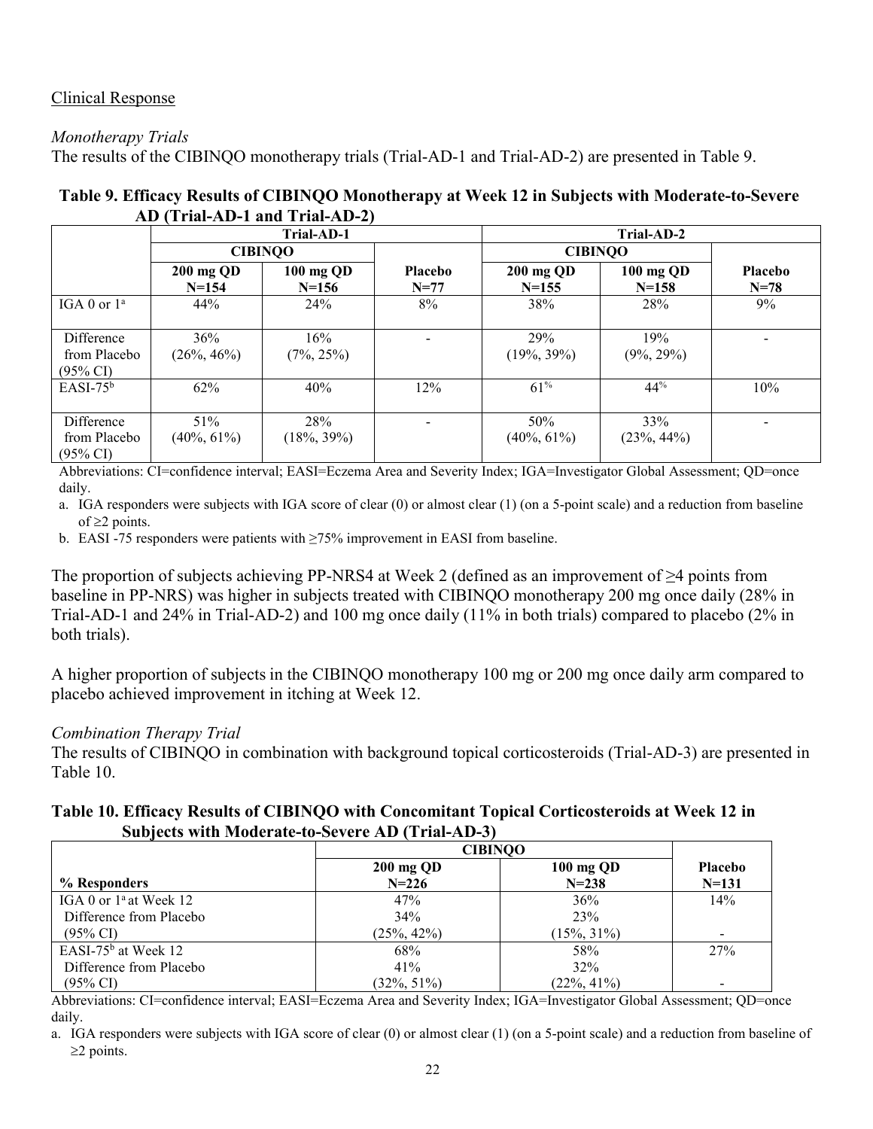## Clinical Response

### *Monotherapy Trials*

The results of the CIBINQO monotherapy trials (Trial-AD-1 and Trial-AD-2) are presented in Table 9.

| Table 9. Efficacy Results of CIBINQO Monotherapy at Week 12 in Subjects with Moderate-to-Severe |            |            |  |
|-------------------------------------------------------------------------------------------------|------------|------------|--|
| AD (Trial-AD-1 and Trial-AD-2)                                                                  |            |            |  |
|                                                                                                 | Trial-AD-1 | Trial-AD-2 |  |

|                                                   | Trial-AD-1             |                        | Trial-AD-2               |                       |                       |                            |
|---------------------------------------------------|------------------------|------------------------|--------------------------|-----------------------|-----------------------|----------------------------|
|                                                   | <b>CIBINOO</b>         |                        |                          | <b>CIBINOO</b>        |                       |                            |
|                                                   | 200 mg QD<br>$N = 154$ | 100 mg QD<br>$N = 156$ | <b>Placebo</b><br>$N=77$ | 200 mg QD<br>$N=155$  | 100 mg QD<br>$N=158$  | <b>Placebo</b><br>$N = 78$ |
| IGA 0 or $1^a$                                    | 44%                    | 24%                    | 8%                       | 38%                   | 28%                   | $9\%$                      |
| Difference<br>from Placebo<br>$(95\% \text{ CI})$ | 36%<br>$(26\%, 46\%)$  | 16%<br>$(7\%, 25\%)$   | $\blacksquare$           | 29%<br>$(19\%, 39\%)$ | 19%<br>$(9\%, 29\%)$  |                            |
| $EASI-75b$                                        | 62%                    | 40%                    | 12%                      | $61\%$                | $44^{\%}$             | 10%                        |
| Difference<br>from Placebo<br>$(95\% \text{ CI})$ | 51%<br>$(40\%, 61\%)$  | 28%<br>$(18\%, 39\%)$  | $\overline{\phantom{a}}$ | 50%<br>$(40\%, 61\%)$ | 33%<br>$(23\%, 44\%)$ |                            |

Abbreviations: CI=confidence interval; EASI=Eczema Area and Severity Index; IGA=Investigator Global Assessment; QD=once daily.

- a. IGA responders were subjects with IGA score of clear (0) or almost clear (1) (on a 5-point scale) and a reduction from baseline of  $\geq$  points.
- b. EASI -75 responders were patients with ≥75% improvement in EASI from baseline.

The proportion of subjects achieving PP-NRS4 at Week 2 (defined as an improvement of ≥4 points from baseline in PP-NRS) was higher in subjects treated with CIBINQO monotherapy 200 mg once daily (28% in Trial-AD-1 and 24% in Trial-AD-2) and 100 mg once daily (11% in both trials) compared to placebo (2% in both trials).

A higher proportion of subjects in the CIBINQO monotherapy 100 mg or 200 mg once daily arm compared to placebo achieved improvement in itching at Week 12.

#### *Combination Therapy Trial*

The results of CIBINQO in combination with background topical corticosteroids (Trial-AD-3) are presented in Table 10.

#### **Table 10. Efficacy Results of CIBINQO with Concomitant Topical Corticosteroids at Week 12 in Subjects with Moderate-to-Severe AD (Trial-AD-3)**

|                                 | <b>CIBINQO</b> |                |                |
|---------------------------------|----------------|----------------|----------------|
|                                 | 200 mg QD      | 100 mg QD      | <b>Placebo</b> |
| % Responders                    | $N = 226$      | $N = 238$      | $N = 131$      |
| IGA 0 or $1^{\circ}$ at Week 12 | 47%            | 36%            | 14%            |
| Difference from Placebo         | 34%            | 23%            |                |
| (95% CI)                        | $(25\%, 42\%)$ | $15\%, 31\%$   |                |
| EASI-75 $b$ at Week 12          | 68%            | 58%            | 27%            |
| Difference from Placebo         | 41%            | 32%            |                |
| (95% CI)                        | $(32\%, 51\%)$ | $(22\%, 41\%)$ | $\,$           |

Abbreviations: CI=confidence interval; EASI=Eczema Area and Severity Index; IGA=Investigator Global Assessment; QD=once daily.

a. IGA responders were subjects with IGA score of clear (0) or almost clear (1) (on a 5-point scale) and a reduction from baseline of  $\geq$ 2 points.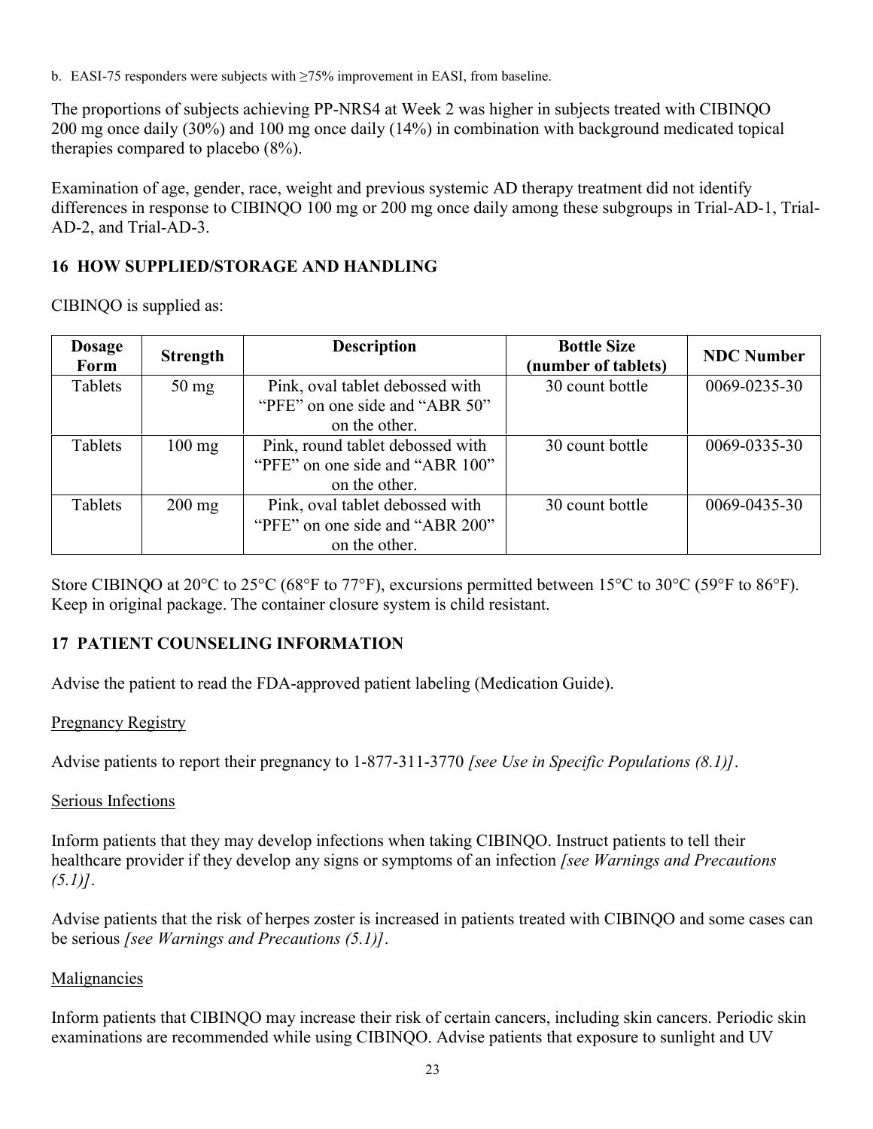b. EASI-75 responders were subjects with ≥75% improvement in EASI, from baseline.

The proportions of subjects achieving PP-NRS4 at Week 2 was higher in subjects treated with CIBINQO 200 mg once daily (30%) and 100 mg once daily (14%) in combination with background medicated topical therapies compared to placebo (8%).

Examination of age, gender, race, weight and previous systemic AD therapy treatment did not identify differences in response to CIBINQO 100 mg or 200 mg once daily among these subgroups in Trial-AD-1, Trial-AD-2, and Trial-AD-3.

## **16 HOW SUPPLIED/STORAGE AND HANDLING**

CIBINQO is supplied as:

| <b>Dosage</b><br>Form | <b>Strength</b>  | <b>Description</b>               | <b>Bottle Size</b><br>(number of tablets) | <b>NDC Number</b> |
|-----------------------|------------------|----------------------------------|-------------------------------------------|-------------------|
| Tablets               | $50 \text{ mg}$  | Pink, oval tablet debossed with  | 30 count bottle                           | 0069-0235-30      |
|                       |                  | "PFE" on one side and "ABR 50"   |                                           |                   |
|                       |                  | on the other.                    |                                           |                   |
| Tablets               | $100 \text{ mg}$ | Pink, round tablet debossed with | 30 count bottle                           | 0069-0335-30      |
|                       |                  | "PFE" on one side and "ABR 100"  |                                           |                   |
|                       |                  | on the other.                    |                                           |                   |
| Tablets               | $200 \text{ mg}$ | Pink, oval tablet debossed with  | 30 count bottle                           | 0069-0435-30      |
|                       |                  | "PFE" on one side and "ABR 200"  |                                           |                   |
|                       |                  | on the other.                    |                                           |                   |

Store CIBINQO at 20°C to 25°C (68°F to 77°F), excursions permitted between 15°C to 30°C (59°F to 86°F). Keep in original package. The container closure system is child resistant.

#### **17 PATIENT COUNSELING INFORMATION**

Advise the patient to read the FDA-approved patient labeling (Medication Guide).

#### Pregnancy Registry

Advise patients to report their pregnancy to 1-877-311-3770 *[see Use in Specific Populations (8.1)]*.

#### Serious Infections

Inform patients that they may develop infections when taking CIBINQO. Instruct patients to tell their healthcare provider if they develop any signs or symptoms of an infection *[see Warnings and Precautions (5.1)]*.

Advise patients that the risk of herpes zoster is increased in patients treated with CIBINQO and some cases can be serious *[see Warnings and Precautions (5.1)]*.

#### Malignancies

Inform patients that CIBINQO may increase their risk of certain cancers, including skin cancers. Periodic skin examinations are recommended while using CIBINQO. Advise patients that exposure to sunlight and UV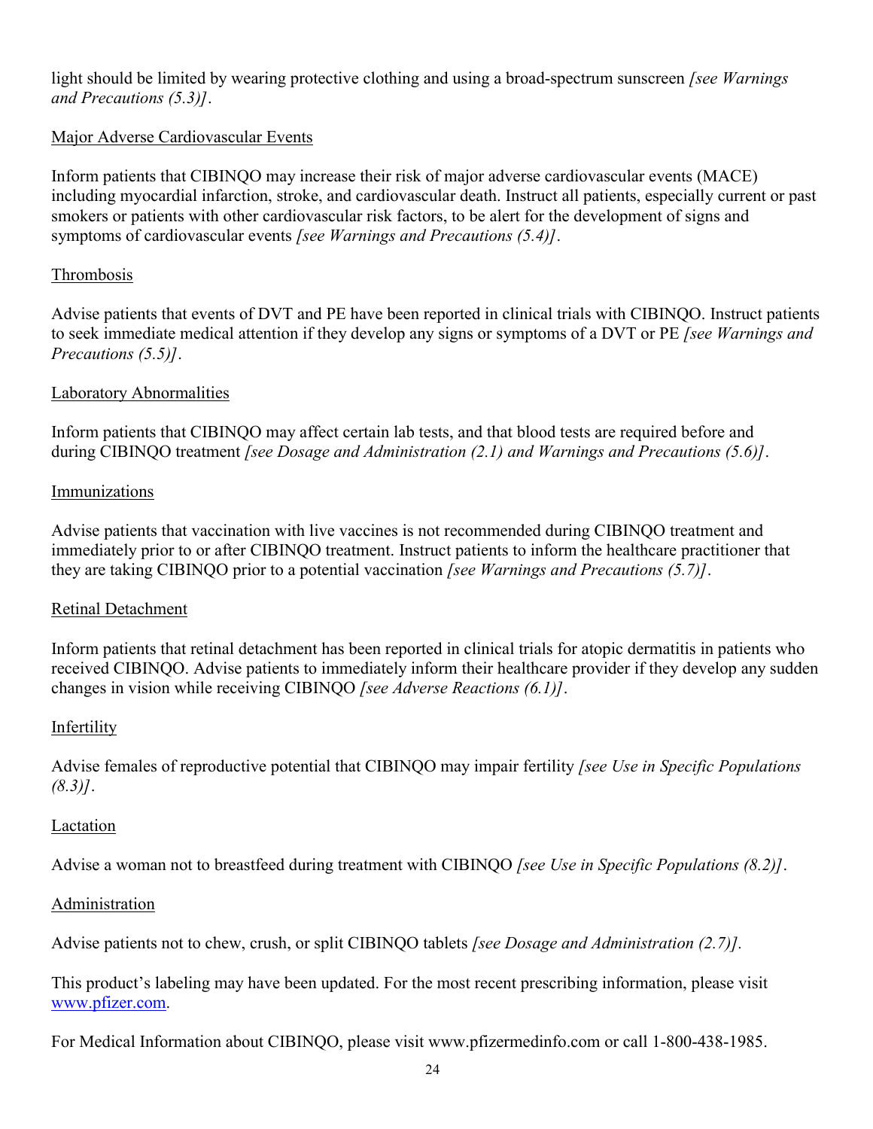light should be limited by wearing protective clothing and using a broad-spectrum sunscreen *[see Warnings and Precautions (5.3)]*.

### Major Adverse Cardiovascular Events

Inform patients that CIBINQO may increase their risk of major adverse cardiovascular events (MACE) including myocardial infarction, stroke, and cardiovascular death. Instruct all patients, especially current or past smokers or patients with other cardiovascular risk factors, to be alert for the development of signs and symptoms of cardiovascular events *[see Warnings and Precautions (5.4)]*.

### Thrombosis

Advise patients that events of DVT and PE have been reported in clinical trials with CIBINQO. Instruct patients to seek immediate medical attention if they develop any signs or symptoms of a DVT or PE *[see Warnings and Precautions (5.5)]*.

#### Laboratory Abnormalities

Inform patients that CIBINQO may affect certain lab tests, and that blood tests are required before and during CIBINQO treatment *[see Dosage and Administration (2.1) and Warnings and Precautions (5.6)]*.

#### Immunizations

Advise patients that vaccination with live vaccines is not recommended during CIBINQO treatment and immediately prior to or after CIBINQO treatment. Instruct patients to inform the healthcare practitioner that they are taking CIBINQO prior to a potential vaccination *[see Warnings and Precautions (5.7)]*.

#### Retinal Detachment

Inform patients that retinal detachment has been reported in clinical trials for atopic dermatitis in patients who received CIBINQO. Advise patients to immediately inform their healthcare provider if they develop any sudden changes in vision while receiving CIBINQO *[see Adverse Reactions (6.1)]*.

#### Infertility

Advise females of reproductive potential that CIBINQO may impair fertility *[see Use in Specific Populations (8.3)]*.

#### Lactation

Advise a woman not to breastfeed during treatment with CIBINQO *[see Use in Specific Populations (8.2)]*.

#### **Administration**

Advise patients not to chew, crush, or split CIBINQO tablets *[see Dosage and Administration (2.7)].*

This product's labeling may have been updated. For the most recent prescribing information, please visit [www.pfizer.com.](http://www.pfizer.com/)

For Medical Information about CIBINQO, please visit www.pfizermedinfo.com or call 1-800-438-1985.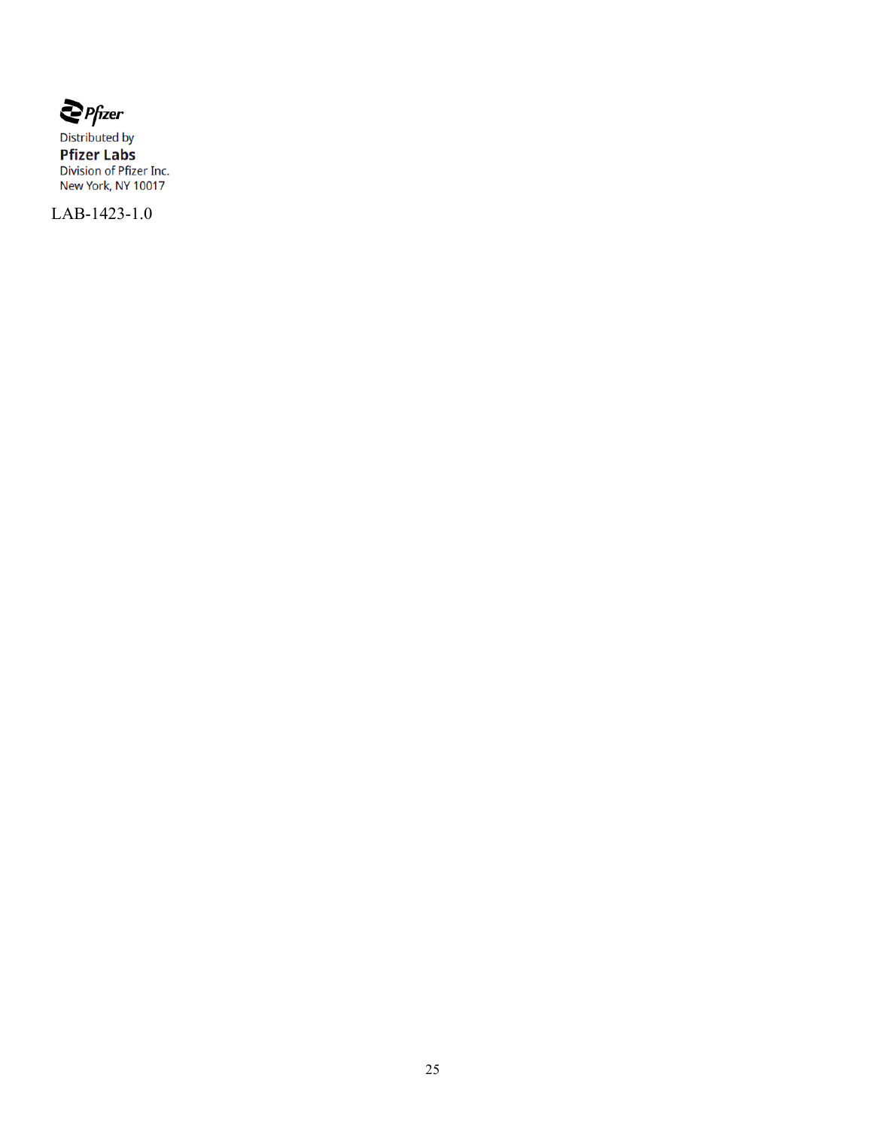$\sum$  Pfizer

Distributed by **Pfizer Labs**<br>Division of Pfizer Inc.<br>New York, NY 10017

LAB-1423-1.0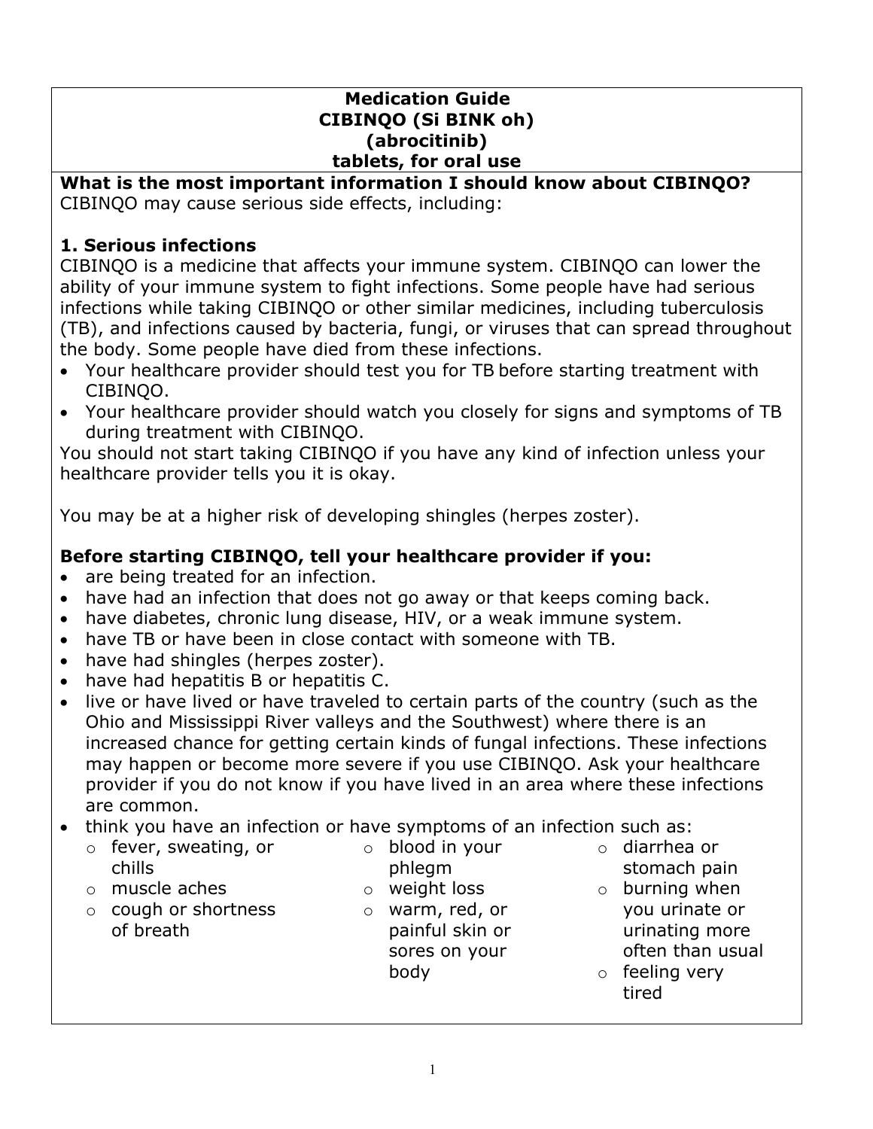## **Medication Guide CIBINQO (Si BINK oh) (abrocitinib) tablets, for oral use**

#### **What is the most important information I should know about CIBINQO?** CIBINQO may cause serious side effects, including:

# **1. Serious infections**

CIBINQO is a medicine that affects your immune system. CIBINQO can lower the ability of your immune system to fight infections. Some people have had serious infections while taking CIBINQO or other similar medicines, including tuberculosis (TB), and infections caused by bacteria, fungi, or viruses that can spread throughout the body. Some people have died from these infections.

- Your healthcare provider should test you for TB before starting treatment with CIBINQO.
- Your healthcare provider should watch you closely for signs and symptoms of TB during treatment with CIBINQO.

You should not start taking CIBINQO if you have any kind of infection unless your healthcare provider tells you it is okay.

You may be at a higher risk of developing shingles (herpes zoster).

# **Before starting CIBINQO, tell your healthcare provider if you:**

- are being treated for an infection.
- have had an infection that does not go away or that keeps coming back.
- have diabetes, chronic lung disease, HIV, or a weak immune system.
- have TB or have been in close contact with someone with TB.
- have had shingles (herpes zoster).
- have had hepatitis B or hepatitis C.
- live or have lived or have traveled to certain parts of the country (such as the Ohio and Mississippi River valleys and the Southwest) where there is an increased chance for getting certain kinds of fungal infections. These infections may happen or become more severe if you use CIBINQO. Ask your healthcare provider if you do not know if you have lived in an area where these infections are common.
- think you have an infection or have symptoms of an infection such as:
	- o fever, sweating, or chills
	- o muscle aches
	- o cough or shortness of breath
- o blood in your phlegm
- o weight loss
- o warm, red, or painful skin or sores on your body
- o diarrhea or stomach pain
- $\circ$  burning when you urinate or urinating more often than usual
- o feeling very tired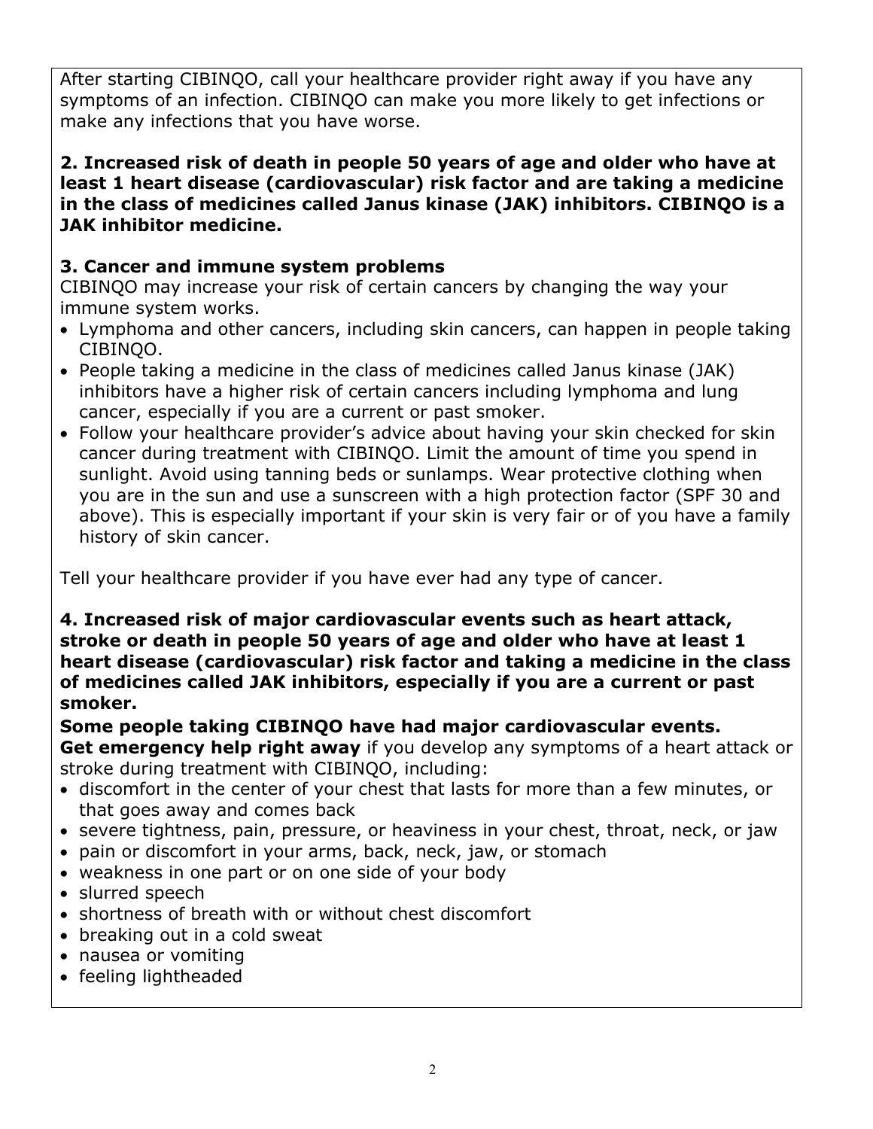After starting CIBINQO, call your healthcare provider right away if you have any symptoms of an infection. CIBINQO can make you more likely to get infections or make any infections that you have worse.

**2. Increased risk of death in people 50 years of age and older who have at least 1 heart disease (cardiovascular) risk factor and are taking a medicine in the class of medicines called Janus kinase (JAK) inhibitors. CIBINQO is a JAK inhibitor medicine.**

# **3. Cancer and immune system problems**

CIBINQO may increase your risk of certain cancers by changing the way your immune system works.

- Lymphoma and other cancers, including skin cancers, can happen in people taking CIBINQO.
- People taking a medicine in the class of medicines called Janus kinase (JAK) inhibitors have a higher risk of certain cancers including lymphoma and lung cancer, especially if you are a current or past smoker.
- Follow your healthcare provider's advice about having your skin checked for skin cancer during treatment with CIBINQO. Limit the amount of time you spend in sunlight. Avoid using tanning beds or sunlamps. Wear protective clothing when you are in the sun and use a sunscreen with a high protection factor (SPF 30 and above). This is especially important if your skin is very fair or of you have a family history of skin cancer.

Tell your healthcare provider if you have ever had any type of cancer.

**4. Increased risk of major cardiovascular events such as heart attack, stroke or death in people 50 years of age and older who have at least 1 heart disease (cardiovascular) risk factor and taking a medicine in the class of medicines called JAK inhibitors, especially if you are a current or past smoker.** 

**Some people taking CIBINQO have had major cardiovascular events. Get emergency help right away** if you develop any symptoms of a heart attack or stroke during treatment with CIBINQO, including:

- discomfort in the center of your chest that lasts for more than a few minutes, or that goes away and comes back
- severe tightness, pain, pressure, or heaviness in your chest, throat, neck, or jaw
- pain or discomfort in your arms, back, neck, jaw, or stomach
- weakness in one part or on one side of your body
- slurred speech
- shortness of breath with or without chest discomfort
- breaking out in a cold sweat
- nausea or vomiting
- feeling lightheaded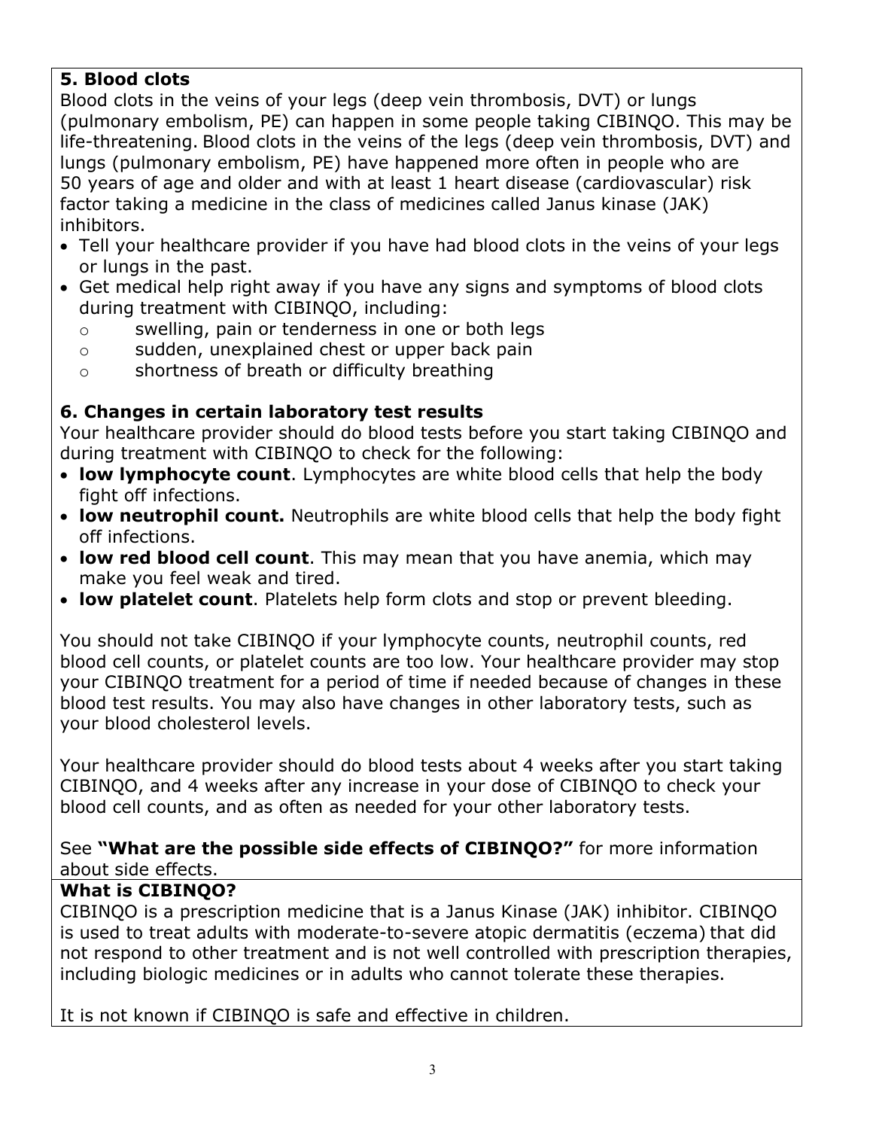# **5. Blood clots**

Blood clots in the veins of your legs (deep vein thrombosis, DVT) or lungs (pulmonary embolism, PE) can happen in some people taking CIBINQO. This may be life-threatening. Blood clots in the veins of the legs (deep vein thrombosis, DVT) and lungs (pulmonary embolism, PE) have happened more often in people who are 50 years of age and older and with at least 1 heart disease (cardiovascular) risk factor taking a medicine in the class of medicines called Janus kinase (JAK) inhibitors.

- Tell your healthcare provider if you have had blood clots in the veins of your legs or lungs in the past.
- Get medical help right away if you have any signs and symptoms of blood clots during treatment with CIBINQO, including:
	- o swelling, pain or tenderness in one or both legs
	- o sudden, unexplained chest or upper back pain
	- o shortness of breath or difficulty breathing

# **6. Changes in certain laboratory test results**

Your healthcare provider should do blood tests before you start taking CIBINQO and during treatment with CIBINQO to check for the following:

- **low lymphocyte count**. Lymphocytes are white blood cells that help the body fight off infections.
- **low neutrophil count.** Neutrophils are white blood cells that help the body fight off infections.
- **low red blood cell count**. This may mean that you have anemia, which may make you feel weak and tired.
- **low platelet count**. Platelets help form clots and stop or prevent bleeding.

You should not take CIBINQO if your lymphocyte counts, neutrophil counts, red blood cell counts, or platelet counts are too low. Your healthcare provider may stop your CIBINQO treatment for a period of time if needed because of changes in these blood test results. You may also have changes in other laboratory tests, such as your blood cholesterol levels.

Your healthcare provider should do blood tests about 4 weeks after you start taking CIBINQO, and 4 weeks after any increase in your dose of CIBINQO to check your blood cell counts, and as often as needed for your other laboratory tests.

## See **"What are the possible side effects of CIBINQO?"** for more information about side effects.

# **What is CIBINQO?**

CIBINQO is a prescription medicine that is a Janus Kinase (JAK) inhibitor. CIBINQO is used to treat adults with moderate-to-severe atopic dermatitis (eczema) that did not respond to other treatment and is not well controlled with prescription therapies, including biologic medicines or in adults who cannot tolerate these therapies.

It is not known if CIBINQO is safe and effective in children.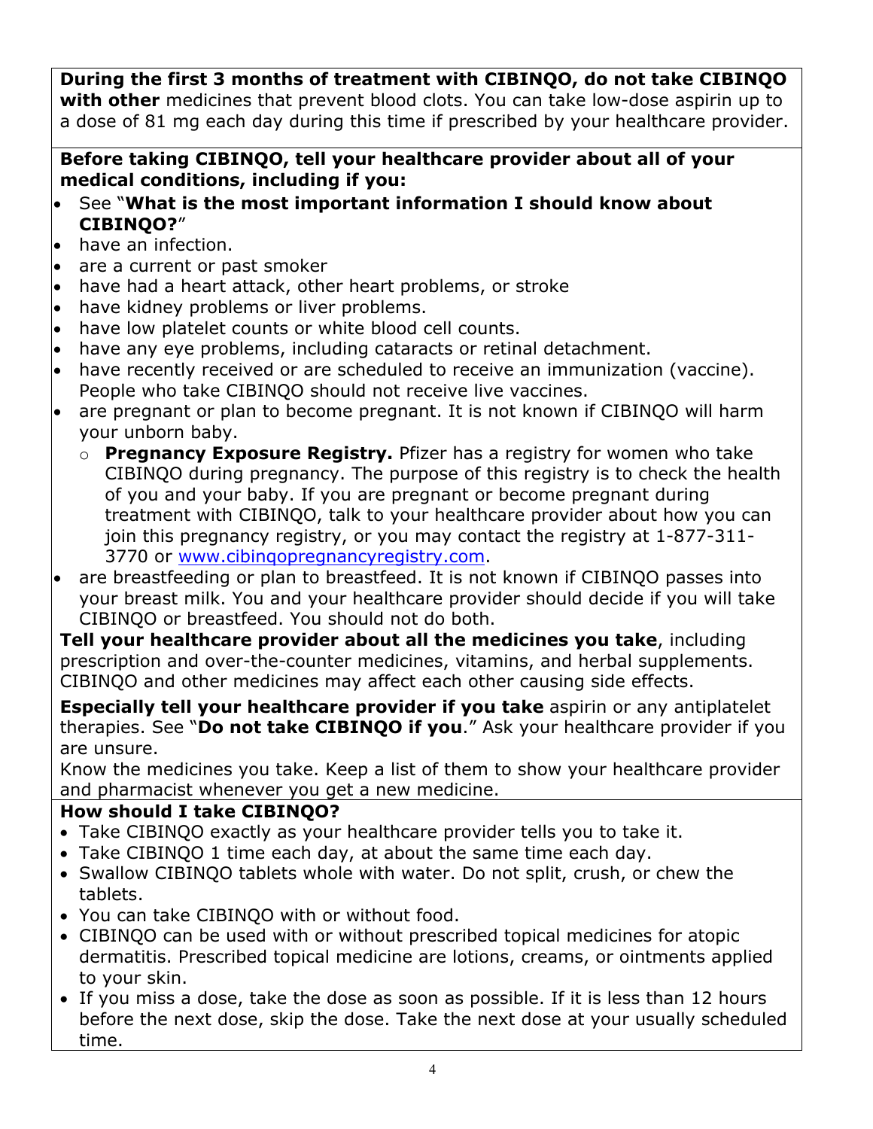**During the first 3 months of treatment with CIBINQO, do not take CIBINQO with other** medicines that prevent blood clots. You can take low-dose aspirin up to a dose of 81 mg each day during this time if prescribed by your healthcare provider.

# **Before taking CIBINQO, tell your healthcare provider about all of your medical conditions, including if you:**

- See "**What is the most important information I should know about CIBINQO?**"
- $\bullet$  have an infection.
- are a current or past smoker
- have had a heart attack, other heart problems, or stroke
- have kidney problems or liver problems.
- have low platelet counts or white blood cell counts.
- have any eye problems, including cataracts or retinal detachment.
- have recently received or are scheduled to receive an immunization (vaccine). People who take CIBINQO should not receive live vaccines.
- are pregnant or plan to become pregnant. It is not known if CIBINQO will harm your unborn baby.
	- o **Pregnancy Exposure Registry.** Pfizer has a registry for women who take CIBINQO during pregnancy. The purpose of this registry is to check the health of you and your baby. If you are pregnant or become pregnant during treatment with CIBINQO, talk to your healthcare provider about how you can join this pregnancy registry, or you may contact the registry at 1-877-311- 3770 or [www.cibinqopregnancyregistry.com](http://www.cibinqopregnancyregistry.com/).
- are breastfeeding or plan to breastfeed. It is not known if CIBINQO passes into your breast milk. You and your healthcare provider should decide if you will take CIBINQO or breastfeed. You should not do both.

**Tell your healthcare provider about all the medicines you take**, including prescription and over-the-counter medicines, vitamins, and herbal supplements. CIBINQO and other medicines may affect each other causing side effects.

**Especially tell your healthcare provider if you take** aspirin or any antiplatelet therapies. See "**Do not take CIBINQO if you**." Ask your healthcare provider if you are unsure.

Know the medicines you take. Keep a list of them to show your healthcare provider and pharmacist whenever you get a new medicine.

# **How should I take CIBINQO?**

- Take CIBINQO exactly as your healthcare provider tells you to take it.
- Take CIBINQO 1 time each day, at about the same time each day.
- Swallow CIBINQO tablets whole with water. Do not split, crush, or chew the tablets.
- You can take CIBINQO with or without food.
- CIBINQO can be used with or without prescribed topical medicines for atopic dermatitis. Prescribed topical medicine are lotions, creams, or ointments applied to your skin.
- If you miss a dose, take the dose as soon as possible. If it is less than 12 hours before the next dose, skip the dose. Take the next dose at your usually scheduled time.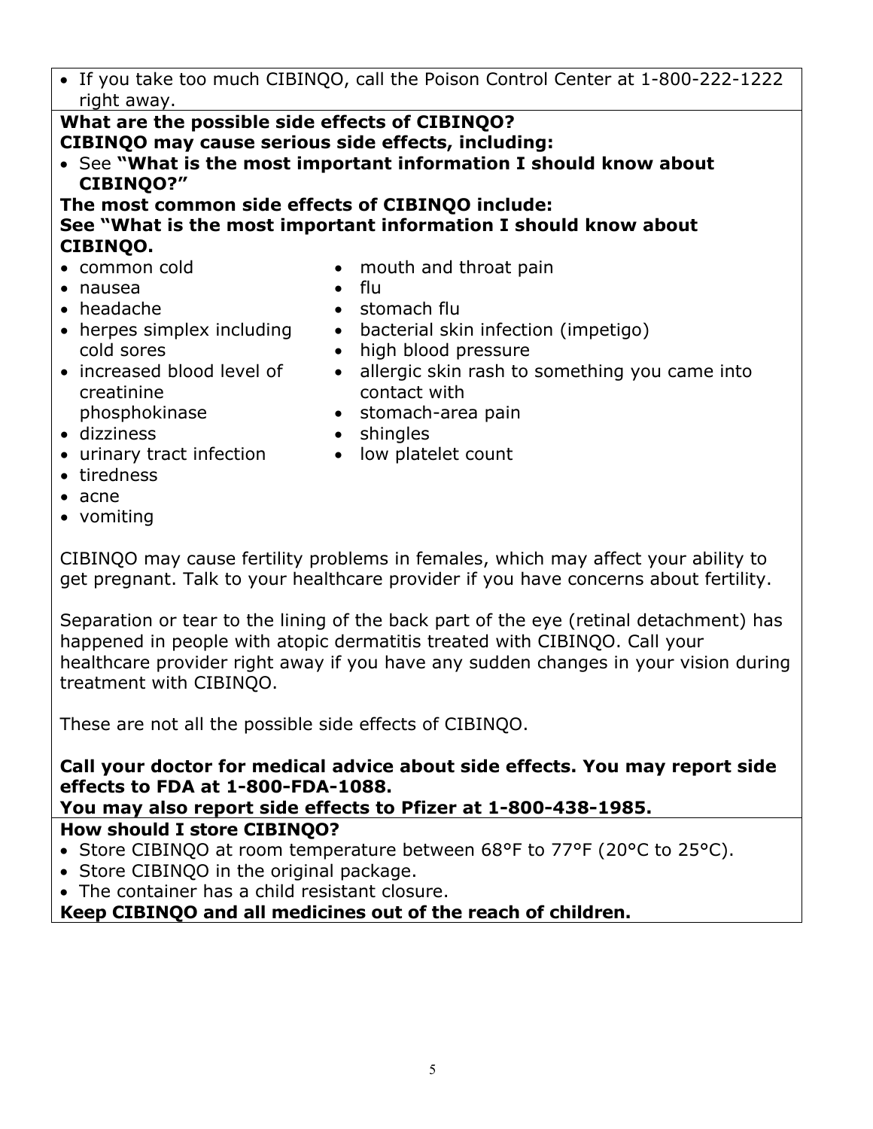If you take too much CIBINQO, call the Poison Control Center at 1-800-222-1222 right away.

# **What are the possible side effects of CIBINQO? CIBINQO may cause serious side effects, including:**

- See **"What is the most important information I should know about CIBINQO?"**
- **The most common side effects of CIBINQO include:**

## **See "What is the most important information I should know about CIBINQO.**

- common cold
- nausea
- headache
- herpes simplex including cold sores
- increased blood level of creatinine phosphokinase
- dizziness
- urinary tract infection
- tiredness
- acne
- vomiting
- mouth and throat pain flu
	-
- stomach flu • bacterial skin infection (impetigo)
- high blood pressure
- allergic skin rash to something you came into contact with
- stomach-area pain
- shingles
- low platelet count
- CIBINQO may cause fertility problems in females, which may affect your ability to get pregnant. Talk to your healthcare provider if you have concerns about fertility.

Separation or tear to the lining of the back part of the eye (retinal detachment) has happened in people with atopic dermatitis treated with CIBINQO. Call your healthcare provider right away if you have any sudden changes in your vision during treatment with CIBINQO.

These are not all the possible side effects of CIBINQO.

# **Call your doctor for medical advice about side effects. You may report side effects to FDA at 1-800-FDA-1088.**

**You may also report side effects to Pfizer at 1-800-438-1985.**

# **How should I store CIBINQO?**

- Store CIBINQO at room temperature between 68°F to 77°F (20°C to 25°C).
- Store CIBINOO in the original package.
- The container has a child resistant closure.

# **Keep CIBINQO and all medicines out of the reach of children.**